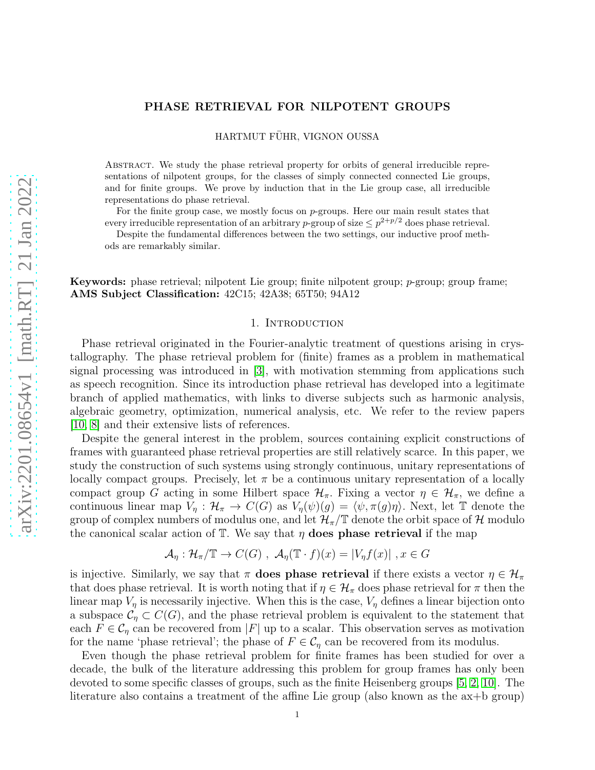## PHASE RETRIEVAL FOR NILPOTENT GROUPS

HARTMUT FÜHR, VIGNON OUSSA

Abstract. We study the phase retrieval property for orbits of general irreducible representations of nilpotent groups, for the classes of simply connected connected Lie groups, and for finite groups. We prove by induction that in the Lie group case, all irreducible representations do phase retrieval.

For the finite group case, we mostly focus on  $p$ -groups. Here our main result states that every irreducible representation of an arbitrary p-group of size  $\leq p^{2+p/2}$  does phase retrieval.

Despite the fundamental differences between the two settings, our inductive proof methods are remarkably similar.

Keywords: phase retrieval; nilpotent Lie group; finite nilpotent group; p-group; group frame; AMS Subject Classification: 42C15; 42A38; 65T50; 94A12

### 1. INTRODUCTION

Phase retrieval originated in the Fourier-analytic treatment of questions arising in crystallography. The phase retrieval problem for (finite) frames as a problem in mathematical signal processing was introduced in [\[3\]](#page-23-0), with motivation stemming from applications such as speech recognition. Since its introduction phase retrieval has developed into a legitimate branch of applied mathematics, with links to diverse subjects such as harmonic analysis, algebraic geometry, optimization, numerical analysis, etc. We refer to the review papers [\[10,](#page-23-1) [8\]](#page-23-2) and their extensive lists of references.

Despite the general interest in the problem, sources containing explicit constructions of frames with guaranteed phase retrieval properties are still relatively scarce. In this paper, we study the construction of such systems using strongly continuous, unitary representations of locally compact groups. Precisely, let  $\pi$  be a continuous unitary representation of a locally compact group G acting in some Hilbert space  $\mathcal{H}_{\pi}$ . Fixing a vector  $\eta \in \mathcal{H}_{\pi}$ , we define a continuous linear map  $V_\eta : \mathcal{H}_\pi \to C(G)$  as  $V_\eta(\psi)(g) = \langle \psi, \pi(g)\eta \rangle$ . Next, let T denote the group of complex numbers of modulus one, and let  $\mathcal{H}_{\pi}/\mathbb{T}$  denote the orbit space of H modulo the canonical scalar action of  $\mathbb{T}$ . We say that  $\eta$  does phase retrieval if the map

$$
\mathcal{A}_{\eta}: \mathcal{H}_{\pi}/\mathbb{T} \to C(G) , \ \mathcal{A}_{\eta}(\mathbb{T} \cdot f)(x) = |V_{\eta}f(x)| , x \in G
$$

is injective. Similarly, we say that  $\pi$  does phase retrieval if there exists a vector  $\eta \in \mathcal{H}_{\pi}$ that does phase retrieval. It is worth noting that if  $\eta \in \mathcal{H}_{\pi}$  does phase retrieval for  $\pi$  then the linear map  $V_{\eta}$  is necessarily injective. When this is the case,  $V_{\eta}$  defines a linear bijection onto a subspace  $\mathcal{C}_\eta \subset C(G)$ , and the phase retrieval problem is equivalent to the statement that each  $F \in \mathcal{C}_n$  can be recovered from |F| up to a scalar. This observation serves as motivation for the name 'phase retrieval'; the phase of  $F \in \mathcal{C}_n$  can be recovered from its modulus.

Even though the phase retrieval problem for finite frames has been studied for over a decade, the bulk of the literature addressing this problem for group frames has only been devoted to some specific classes of groups, such as the finite Heisenberg groups [\[5,](#page-23-3) [2,](#page-23-4) [10\]](#page-23-1). The literature also contains a treatment of the affine Lie group (also known as the ax+b group)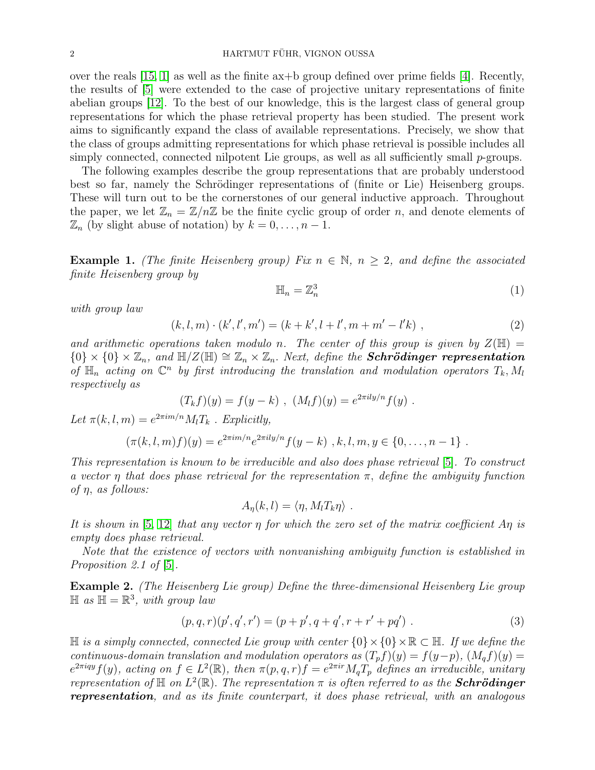over the reals  $[15, 1]$  $[15, 1]$  as well as the finite  $a\bar{x}+b$  group defined over prime fields  $[4]$ . Recently, the results of [\[5\]](#page-23-3) were extended to the case of projective unitary representations of finite abelian groups [\[12\]](#page-23-7). To the best of our knowledge, this is the largest class of general group representations for which the phase retrieval property has been studied. The present work aims to significantly expand the class of available representations. Precisely, we show that the class of groups admitting representations for which phase retrieval is possible includes all simply connected, connected nilpotent Lie groups, as well as all sufficiently small  $p$ -groups.

The following examples describe the group representations that are probably understood best so far, namely the Schrödinger representations of (finite or Lie) Heisenberg groups. These will turn out to be the cornerstones of our general inductive approach. Throughout the paper, we let  $\mathbb{Z}_n = \mathbb{Z}/n\mathbb{Z}$  be the finite cyclic group of order n, and denote elements of  $\mathbb{Z}_n$  (by slight abuse of notation) by  $k = 0, \ldots, n-1$ .

<span id="page-1-0"></span>**Example 1.** (The finite Heisenberg group) Fix  $n \in \mathbb{N}$ ,  $n \geq 2$ , and define the associated finite Heisenberg group by

<span id="page-1-2"></span>
$$
\mathbb{H}_n = \mathbb{Z}_n^3 \tag{1}
$$

with group law

<span id="page-1-3"></span>
$$
(k, l, m) \cdot (k', l', m') = (k + k', l + l', m + m' - l'k) , \qquad (2)
$$

and arithmetic operations taken modulo n. The center of this group is given by  $Z(\mathbb{H}) =$  ${0} \times {0} \times {\mathbb{Z}_n}$ , and  ${\mathbb H}/Z({\mathbb{H}}) \cong {\mathbb{Z}_n} \times {\mathbb{Z}_n}$ . Next, define the **Schrödinger representation** of  $\mathbb{H}_n$  acting on  $\mathbb{C}^n$  by first introducing the translation and modulation operators  $T_k$ ,  $M_l$ respectively as

$$
(T_k f)(y) = f(y - k) , (M_l f)(y) = e^{2\pi i l y/n} f(y) .
$$

Let  $\pi(k, l, m) = e^{2\pi i m/n} M_l T_k$ . Explicitly,

$$
(\pi(k,l,m)f)(y) = e^{2\pi i m/n} e^{2\pi i l y/n} f(y-k), k, l, m, y \in \{0, ..., n-1\}.
$$

This representation is known to be irreducible and also does phase retrieval [\[5\]](#page-23-3). To construct a vector  $\eta$  that does phase retrieval for the representation  $\pi$ , define the ambiguity function of  $\eta$ , as follows:

$$
A_{\eta}(k,l) = \langle \eta, M_l T_k \eta \rangle \ .
$$

It is shown in [\[5,](#page-23-3) [12\]](#page-23-7) that any vector  $\eta$  for which the zero set of the matrix coefficient A $\eta$  is empty does phase retrieval.

Note that the existence of vectors with nonvanishing ambiguity function is established in Proposition 2.1 of  $|5|$ .

<span id="page-1-1"></span>Example 2. (The Heisenberg Lie group) Define the three-dimensional Heisenberg Lie group  $\mathbb{H}$  as  $\mathbb{H} = \mathbb{R}^3$ , with group law

$$
(p,q,r)(p',q',r') = (p+p',q+q',r+r'+pq') . \tag{3}
$$

H is a simply connected, connected Lie group with center  ${0} \times {0} \times \mathbb{R} \subset \mathbb{H}$ . If we define the continuous-domain translation and modulation operators as  $(T_p f)(y) = f(y-p)$ ,  $(M_q f)(y) =$  $e^{2\pi i qy} f(y)$ , acting on  $f \in L^2(\mathbb{R})$ , then  $\pi(p,q,r)f = e^{2\pi i r} M_q T_p$  defines an irreducible, unitary representation of  $\mathbb H$  on  $L^2(\mathbb R)$ . The representation  $\pi$  is often referred to as the **Schrödinger** representation, and as its finite counterpart, it does phase retrieval, with an analogous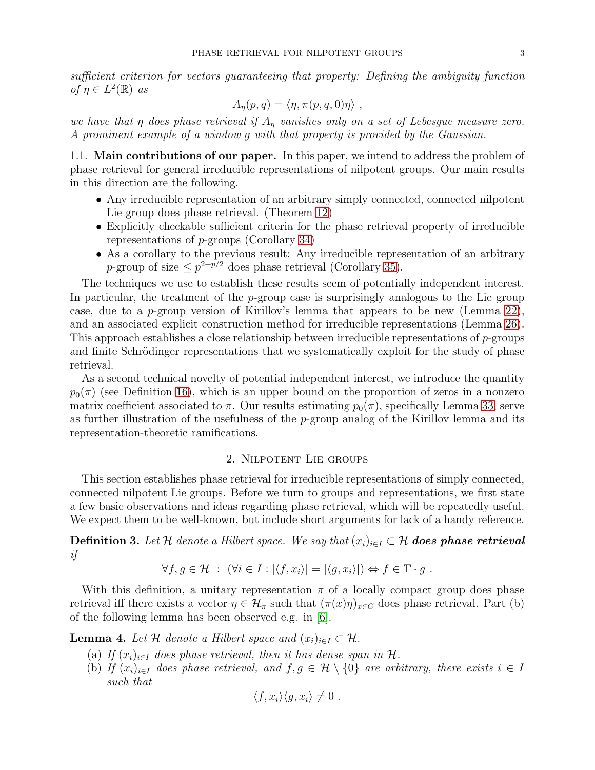sufficient criterion for vectors guaranteeing that property: Defining the ambiguity function of  $\eta \in L^2(\mathbb{R})$  as

$$
A_{\eta}(p,q) = \langle \eta, \pi(p,q,0)\eta \rangle ,
$$

we have that  $\eta$  does phase retrieval if  $A_{\eta}$  vanishes only on a set of Lebesgue measure zero. A prominent example of a window g with that property is provided by the Gaussian.

1.1. Main contributions of our paper. In this paper, we intend to address the problem of phase retrieval for general irreducible representations of nilpotent groups. Our main results in this direction are the following.

- Any irreducible representation of an arbitrary simply connected, connected nilpotent Lie group does phase retrieval. (Theorem [12\)](#page-6-0)
- Explicitly checkable sufficient criteria for the phase retrieval property of irreducible representations of p-groups (Corollary [34\)](#page-22-0)
- As a corollary to the previous result: Any irreducible representation of an arbitrary p-group of size  $\leq p^{2+p/2}$  does phase retrieval (Corollary [35\)](#page-22-1).

The techniques we use to establish these results seem of potentially independent interest. In particular, the treatment of the  $p$ -group case is surprisingly analogous to the Lie group case, due to a p-group version of Kirillov's lemma that appears to be new (Lemma [22\)](#page-13-0), and an associated explicit construction method for irreducible representations (Lemma [26\)](#page-16-0). This approach establishes a close relationship between irreducible representations of  $p$ -groups and finite Schrödinger representations that we systematically exploit for the study of phase retrieval.

As a second technical novelty of potential independent interest, we introduce the quantity  $p_0(\pi)$  (see Definition [16\)](#page-11-0), which is an upper bound on the proportion of zeros in a nonzero matrix coefficient associated to  $\pi$ . Our results estimating  $p_0(\pi)$ , specifically Lemma [33,](#page-20-0) serve as further illustration of the usefulness of the  $p$ -group analog of the Kirillov lemma and its representation-theoretic ramifications.

## 2. Nilpotent Lie groups

This section establishes phase retrieval for irreducible representations of simply connected, connected nilpotent Lie groups. Before we turn to groups and representations, we first state a few basic observations and ideas regarding phase retrieval, which will be repeatedly useful. We expect them to be well-known, but include short arguments for lack of a handy reference.

**Definition 3.** Let H denote a Hilbert space. We say that  $(x_i)_{i\in I} \subset H$  **does phase retrieval** if

$$
\forall f, g \in \mathcal{H} : (\forall i \in I : |\langle f, x_i \rangle| = |\langle g, x_i \rangle|) \Leftrightarrow f \in \mathbb{T} \cdot g.
$$

With this definition, a unitary representation  $\pi$  of a locally compact group does phase retrieval iff there exists a vector  $\eta \in \mathcal{H}_{\pi}$  such that  $(\pi(x)\eta)_{x \in G}$  does phase retrieval. Part (b) of the following lemma has been observed e.g. in [\[6\]](#page-23-8).

<span id="page-2-0"></span>**Lemma 4.** Let H denote a Hilbert space and  $(x_i)_{i \in I} \subset \mathcal{H}$ .

- (a) If  $(x_i)_{i\in I}$  does phase retrieval, then it has dense span in  $\mathcal{H}$ .
- (b) If  $(x_i)_{i\in I}$  does phase retrieval, and  $f, g \in \mathcal{H} \setminus \{0\}$  are arbitrary, there exists  $i \in I$ such that

$$
\langle f, x_i \rangle \langle g, x_i \rangle \neq 0.
$$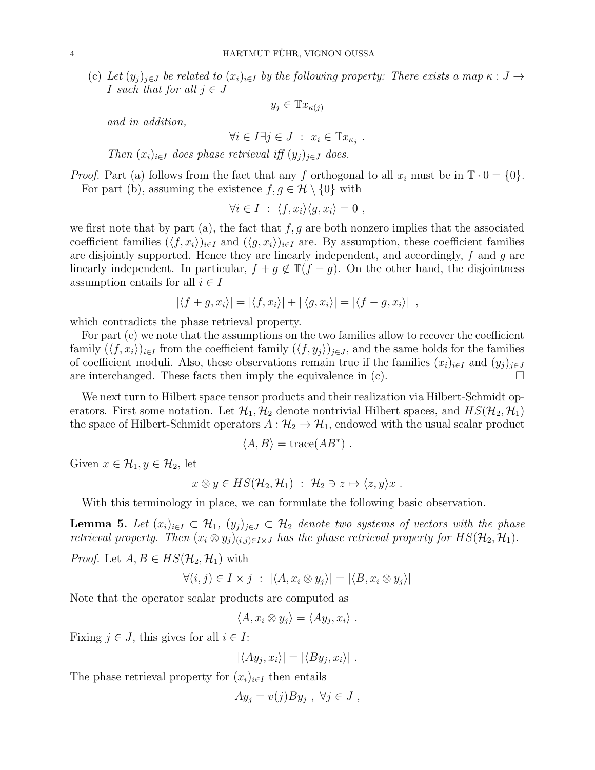(c) Let  $(y_j)_{j\in J}$  be related to  $(x_i)_{i\in I}$  by the following property: There exists a map  $\kappa: J \to$ I such that for all  $j \in J$ 

$$
y_j \in \mathbb{T}x_{\kappa(j)}
$$

and in addition,

$$
\forall i \in I \exists j \in J \; : \; x_i \in \mathbb{T}x_{\kappa_j} \; .
$$

Then  $(x_i)_{i\in I}$  does phase retrieval iff  $(y_i)_{i\in J}$  does.

*Proof.* Part (a) follows from the fact that any f orthogonal to all  $x_i$  must be in  $\mathbb{T} \cdot 0 = \{0\}$ . For part (b), assuming the existence  $f, g \in \mathcal{H} \setminus \{0\}$  with

$$
\forall i \in I \; : \; \langle f, x_i \rangle \langle g, x_i \rangle = 0 \; ,
$$

we first note that by part (a), the fact that  $f, g$  are both nonzero implies that the associated coefficient families  $(\langle f, x_i \rangle)_{i \in I}$  and  $(\langle g, x_i \rangle)_{i \in I}$  are. By assumption, these coefficient families are disjointly supported. Hence they are linearly independent, and accordingly, f and g are linearly independent. In particular,  $f + g \notin \mathbb{T}(f - g)$ . On the other hand, the disjointness assumption entails for all  $i \in I$ 

$$
|\langle f+g, x_i\rangle| = |\langle f, x_i\rangle| + |\langle g, x_i\rangle| = |\langle f-g, x_i\rangle|,
$$

which contradicts the phase retrieval property.

For part (c) we note that the assumptions on the two families allow to recover the coefficient family  $(\langle f, x_i \rangle)_{i \in I}$  from the coefficient family  $(\langle f, y_j \rangle)_{j \in J}$ , and the same holds for the families of coefficient moduli. Also, these observations remain true if the families  $(x_i)_{i\in I}$  and  $(y_i)_{i\in J}$ are interchanged. These facts then imply the equivalence in  $(c)$ .

We next turn to Hilbert space tensor products and their realization via Hilbert-Schmidt operators. First some notation. Let  $\mathcal{H}_1, \mathcal{H}_2$  denote nontrivial Hilbert spaces, and  $HS(\mathcal{H}_2, \mathcal{H}_1)$ the space of Hilbert-Schmidt operators  $A : \mathcal{H}_2 \to \mathcal{H}_1$ , endowed with the usual scalar product

$$
\langle A, B \rangle = \text{trace}(AB^*) \ .
$$

Given  $x \in \mathcal{H}_1, y \in \mathcal{H}_2$ , let

$$
x \otimes y \in HS(\mathcal{H}_2, \mathcal{H}_1) \; : \; \mathcal{H}_2 \ni z \mapsto \langle z, y \rangle x \; .
$$

With this terminology in place, we can formulate the following basic observation.

<span id="page-3-0"></span>**Lemma 5.** Let  $(x_i)_{i\in I} \subset \mathcal{H}_1$ ,  $(y_i)_{i\in J} \subset \mathcal{H}_2$  denote two systems of vectors with the phase retrieval property. Then  $(x_i \otimes y_j)_{(i,j)\in I\times J}$  has the phase retrieval property for  $HS(\mathcal{H}_2, \mathcal{H}_1)$ .

*Proof.* Let  $A, B \in HS(H_2, H_1)$  with

$$
\forall (i,j) \in I \times j \; : \; |\langle A, x_i \otimes y_j \rangle| = |\langle B, x_i \otimes y_j \rangle|
$$

Note that the operator scalar products are computed as

 $\langle A, x_i \otimes y_j \rangle = \langle Ay_j, x_i \rangle$ .

Fixing  $j \in J$ , this gives for all  $i \in I$ :

 $|\langle Ay_j, x_i\rangle| = |\langle By_j, x_i\rangle|.$ 

The phase retrieval property for  $(x_i)_{i\in I}$  then entails

 $Ay_j = v(j)By_j, \ \forall j \in J,$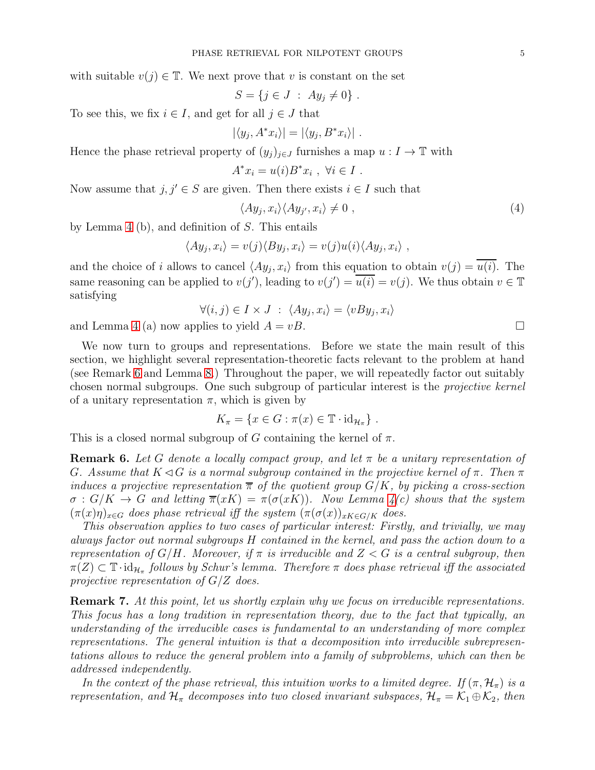with suitable  $v(j) \in \mathbb{T}$ . We next prove that v is constant on the set

$$
S = \{ j \in J : Ay_j \neq 0 \} .
$$

To see this, we fix  $i \in I$ , and get for all  $j \in J$  that

$$
|\langle y_j, A^*x_i\rangle|=|\langle y_j, B^*x_i\rangle|.
$$

Hence the phase retrieval property of  $(y_i)_{i\in J}$  furnishes a map  $u: I \to \mathbb{T}$  with

$$
A^*x_i = u(i)B^*x_i , \forall i \in I .
$$

Now assume that  $j, j' \in S$  are given. Then there exists  $i \in I$  such that

$$
\langle Ay_j, x_i \rangle \langle Ay_{j'}, x_i \rangle \neq 0 \tag{4}
$$

by Lemma [4](#page-2-0) (b), and definition of S. This entails

$$
\langle Ay_j, x_i \rangle = v(j) \langle By_j, x_i \rangle = v(j)u(i) \langle Ay_j, x_i \rangle,
$$

and the choice of i allows to cancel  $\langle Ay_j, x_i \rangle$  from this equation to obtain  $v(j) = u(i)$ . The same reasoning can be applied to  $v(j')$ , leading to  $v(j') = \overline{u(i)} = v(j)$ . We thus obtain  $v \in \mathbb{T}$ satisfying

$$
\forall (i,j) \in I \times J \; : \; \langle Ay_j, x_i \rangle = \langle vBy_j, x_i \rangle
$$

and Lemma [4](#page-2-0) (a) now applies to yield  $A = vB$ .

We now turn to groups and representations. Before we state the main result of this section, we highlight several representation-theoretic facts relevant to the problem at hand (see Remark [6](#page-4-0) and Lemma [8.](#page-5-0)) Throughout the paper, we will repeatedly factor out suitably chosen normal subgroups. One such subgroup of particular interest is the projective kernel of a unitary representation  $\pi$ , which is given by

$$
K_{\pi} = \{ x \in G : \pi(x) \in \mathbb{T} \cdot id_{\mathcal{H}_{\pi}} \} .
$$

This is a closed normal subgroup of G containing the kernel of  $\pi$ .

<span id="page-4-0"></span>**Remark 6.** Let G denote a locally compact group, and let  $\pi$  be a unitary representation of G. Assume that  $K \triangleleft G$  is a normal subgroup contained in the projective kernel of  $\pi$ . Then  $\pi$ induces a projective representation  $\bar{\pi}$  of the quotient group  $G/K$ , by picking a cross-section  $\sigma : G/K \to G$  and letting  $\overline{\pi}(xK) = \pi(\sigma(xK))$ . Now Lemma  $\phi(x)$  shows that the system  $(\pi(x)\eta)_{x\in G}$  does phase retrieval iff the system  $(\pi(\sigma(x))_{xK\in G/K}$  does.

This observation applies to two cases of particular interest: Firstly, and trivially, we may always factor out normal subgroups H contained in the kernel, and pass the action down to a representation of  $G/H$ . Moreover, if  $\pi$  is irreducible and  $Z < G$  is a central subgroup, then  $\pi(Z) \subset \mathbb{T} \cdot \mathrm{id}_{\mathcal{H}_{\pi}}$  follows by Schur's lemma. Therefore  $\pi$  does phase retrieval iff the associated projective representation of  $G/Z$  does.

Remark 7. At this point, let us shortly explain why we focus on irreducible representations. This focus has a long tradition in representation theory, due to the fact that typically, an understanding of the irreducible cases is fundamental to an understanding of more complex representations. The general intuition is that a decomposition into irreducible subrepresentations allows to reduce the general problem into a family of subproblems, which can then be addressed independently.

In the context of the phase retrieval, this intuition works to a limited degree. If  $(\pi, \mathcal{H}_{\pi})$  is a representation, and  $\mathcal{H}_{\pi}$  decomposes into two closed invariant subspaces,  $\mathcal{H}_{\pi} = \mathcal{K}_1 \oplus \mathcal{K}_2$ , then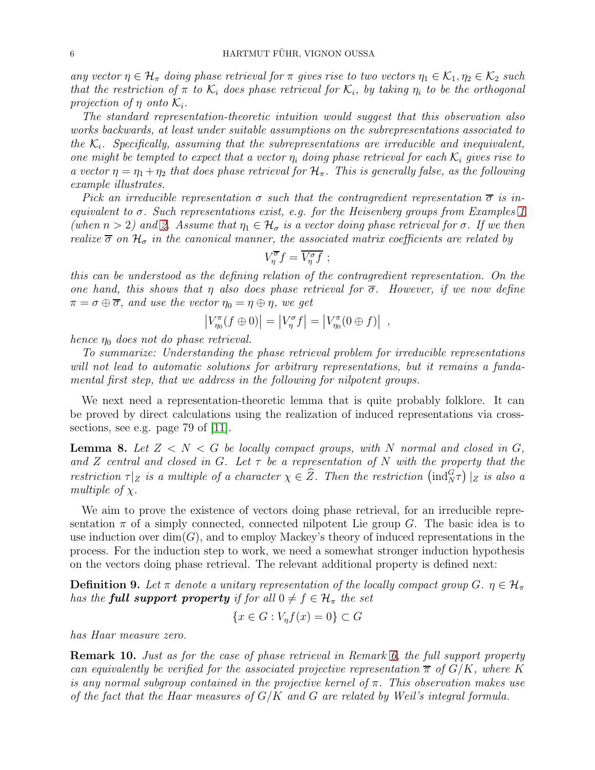any vector  $\eta \in \mathcal{H}_{\pi}$  doing phase retrieval for  $\pi$  gives rise to two vectors  $\eta_1 \in \mathcal{K}_1, \eta_2 \in \mathcal{K}_2$  such that the restriction of  $\pi$  to  $\mathcal{K}_i$  does phase retrieval for  $\mathcal{K}_i$ , by taking  $\eta_i$  to be the orthogonal projection of  $\eta$  onto  $\mathcal{K}_i$ .

The standard representation-theoretic intuition would suggest that this observation also works backwards, at least under suitable assumptions on the subrepresentations associated to the  $\mathcal{K}_i$ . Specifically, assuming that the subrepresentations are irreducible and inequivalent, one might be tempted to expect that a vector  $\eta_i$  doing phase retrieval for each  $\mathcal{K}_i$  gives rise to a vector  $\eta = \eta_1 + \eta_2$  that does phase retrieval for  $\mathcal{H}_{\pi}$ . This is generally false, as the following example illustrates.

Pick an irreducible representation  $\sigma$  such that the contragredient representation  $\overline{\sigma}$  is inequivalent to σ. Such representations exist, e.g. for the Heisenberg groups from Examples [1](#page-1-0) (when  $n > 2$ ) and [2.](#page-1-1) Assume that  $\eta_1 \in \mathcal{H}_{\sigma}$  is a vector doing phase retrieval for  $\sigma$ . If we then realize  $\overline{\sigma}$  on  $\mathcal{H}_{\sigma}$  in the canonical manner, the associated matrix coefficients are related by

$$
V_{\eta}^{\overline{\sigma}}f=\overline{V_{\eta}^{\sigma}f} ;
$$

this can be understood as the defining relation of the contragredient representation. On the one hand, this shows that  $\eta$  also does phase retrieval for  $\overline{\sigma}$ . However, if we now define  $\pi = \sigma \oplus \overline{\sigma}$ , and use the vector  $\eta_0 = \eta \oplus \eta$ , we get

$$
\left|V_{\eta_0}^{\pi}(f\oplus 0)\right| = \left|V_{\eta}^{\sigma}f\right| = \left|V_{\eta_0}^{\pi}(0\oplus f)\right| ,
$$

hence  $\eta_0$  does not do phase retrieval.

To summarize: Understanding the phase retrieval problem for irreducible representations will not lead to automatic solutions for arbitrary representations, but it remains a fundamental first step, that we address in the following for nilpotent groups.

We next need a representation-theoretic lemma that is quite probably folklore. It can be proved by direct calculations using the realization of induced representations via crosssections, see e.g. page 79 of [\[11\]](#page-23-9).

<span id="page-5-0"></span>**Lemma 8.** Let  $Z < N < G$  be locally compact groups, with N normal and closed in G, and Z central and closed in G. Let  $\tau$  be a representation of N with the property that the restriction  $\tau|_Z$  is a multiple of a character  $\chi \in \widehat{Z}$ . Then the restriction  $(\text{ind}_{N}^{G}\tau)|_Z$  is also a multiple of  $\chi$ .

We aim to prove the existence of vectors doing phase retrieval, for an irreducible representation  $\pi$  of a simply connected, connected nilpotent Lie group G. The basic idea is to use induction over  $\dim(G)$ , and to employ Mackey's theory of induced representations in the process. For the induction step to work, we need a somewhat stronger induction hypothesis on the vectors doing phase retrieval. The relevant additional property is defined next:

**Definition 9.** Let  $\pi$  denote a unitary representation of the locally compact group G.  $\eta \in \mathcal{H}_{\pi}$ has the **full support property** if for all  $0 \neq f \in \mathcal{H}_{\pi}$  the set

$$
\{x \in G : V_{\eta}f(x) = 0\} \subset G
$$

has Haar measure zero.

<span id="page-5-1"></span>Remark 10. Just as for the case of phase retrieval in Remark [6,](#page-4-0) the full support property can equivalently be verified for the associated projective representation  $\overline{\pi}$  of  $G/K$ , where K is any normal subgroup contained in the projective kernel of  $\pi$ . This observation makes use of the fact that the Haar measures of  $G/K$  and G are related by Weil's integral formula.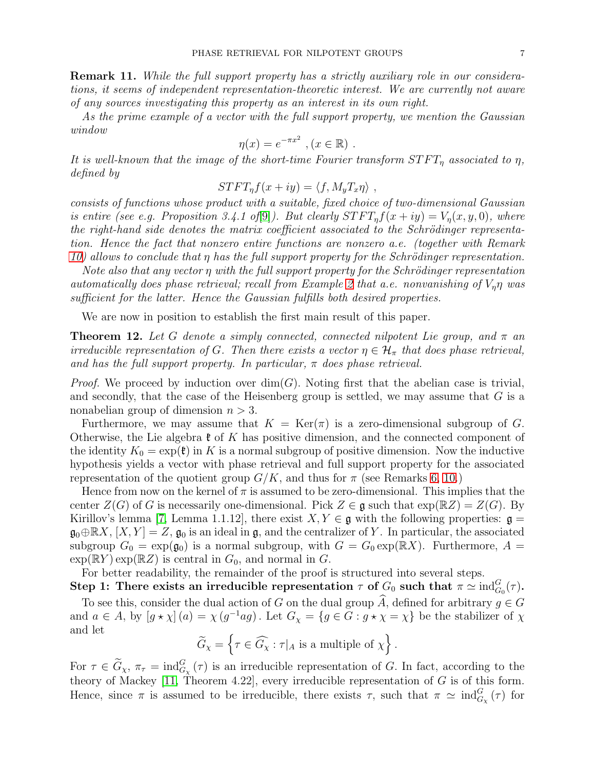<span id="page-6-1"></span>Remark 11. While the full support property has a strictly auxiliary role in our considerations, it seems of independent representation-theoretic interest. We are currently not aware of any sources investigating this property as an interest in its own right.

As the prime example of a vector with the full support property, we mention the Gaussian window

$$
\eta(x) = e^{-\pi x^2}, (x \in \mathbb{R}).
$$

It is well-known that the image of the short-time Fourier transform  $STFT_n$  associated to  $\eta$ , defined by

$$
STFT_{\eta}f(x+iy) = \langle f, M_yT_x\eta \rangle ,
$$

consists of functions whose product with a suitable, fixed choice of two-dimensional Gaussian is entire (see e.g. Proposition 3.4.1 of [\[9\]](#page-23-10)). But clearly  $STFT_nf(x+iy) = V_n(x, y, 0)$ , where the right-hand side denotes the matrix coefficient associated to the Schrödinger representation. Hence the fact that nonzero entire functions are nonzero a.e. (together with Remark [10\)](#page-5-1) allows to conclude that  $\eta$  has the full support property for the Schrödinger representation.

Note also that any vector  $\eta$  with the full support property for the Schrödinger representation automatically does phase retrieval; recall from Example [2](#page-1-1) that a.e. nonvanishing of  $V_n\eta$  was sufficient for the latter. Hence the Gaussian fulfills both desired properties.

We are now in position to establish the first main result of this paper.

<span id="page-6-0"></span>**Theorem 12.** Let G denote a simply connected, connected nilpotent Lie group, and  $\pi$  and irreducible representation of G. Then there exists a vector  $\eta \in \mathcal{H}_{\pi}$  that does phase retrieval, and has the full support property. In particular,  $\pi$  does phase retrieval.

*Proof.* We proceed by induction over  $dim(G)$ . Noting first that the abelian case is trivial, and secondly, that the case of the Heisenberg group is settled, we may assume that  $G$  is a nonabelian group of dimension  $n > 3$ .

Furthermore, we may assume that  $K = \text{Ker}(\pi)$  is a zero-dimensional subgroup of G. Otherwise, the Lie algebra  $\mathfrak k$  of K has positive dimension, and the connected component of the identity  $K_0 = \exp(\mathfrak{k})$  in K is a normal subgroup of positive dimension. Now the inductive hypothesis yields a vector with phase retrieval and full support property for the associated representation of the quotient group  $G/K$ , and thus for  $\pi$  (see Remarks [6,](#page-4-0) [10.](#page-5-1))

Hence from now on the kernel of  $\pi$  is assumed to be zero-dimensional. This implies that the center  $Z(G)$  of G is necessarily one-dimensional. Pick  $Z \in \mathfrak{g}$  such that  $\exp(\mathbb{R}Z) = Z(G)$ . By Kirillov's lemma [\[7,](#page-23-11) Lemma 1.1.12], there exist  $X, Y \in \mathfrak{g}$  with the following properties:  $\mathfrak{g} =$  $\mathfrak{g}_0\oplus \mathbb{R} X$ ,  $[X, Y]=Z$ ,  $\mathfrak{g}_0$  is an ideal in  $\mathfrak{g}$ , and the centralizer of Y. In particular, the associated subgroup  $G_0 = \exp(\mathfrak{g}_0)$  is a normal subgroup, with  $G = G_0 \exp(\mathbb{R}X)$ . Furthermore,  $A =$  $\exp(\mathbb{R}Y) \exp(\mathbb{R}Z)$  is central in  $G_0$ , and normal in G.

For better readability, the remainder of the proof is structured into several steps.

Step 1: There exists an irreducible representation  $\tau$  of  $G_0$  such that  $\pi \simeq \text{ind}_{G_0}^G(\tau)$ . To see this, consider the dual action of G on the dual group  $\widehat{A}$ , defined for arbitrary  $g \in G$ and  $a \in A$ , by  $[g \star \chi](a) = \chi(g^{-1}ag)$ . Let  $G_{\chi} = \{g \in G : g \star \chi = \chi\}$  be the stabilizer of  $\chi$ and let

$$
\widetilde{G}_{\chi} = \left\{ \tau \in \widehat{G}_{\chi} : \tau|_A \text{ is a multiple of } \chi \right\}.
$$

For  $\tau \in \tilde{G}_{\chi}, \pi_{\tau} = \text{ind}_{G_{\chi}}^{G}(\tau)$  is an irreducible representation of G. In fact, according to the theory of Mackey [\[11,](#page-23-9) Theorem 4.22], every irreducible representation of  $G$  is of this form. Hence, since  $\pi$  is assumed to be irreducible, there exists  $\tau$ , such that  $\pi \simeq \text{ind}_{G_\chi}^G(\tau)$  for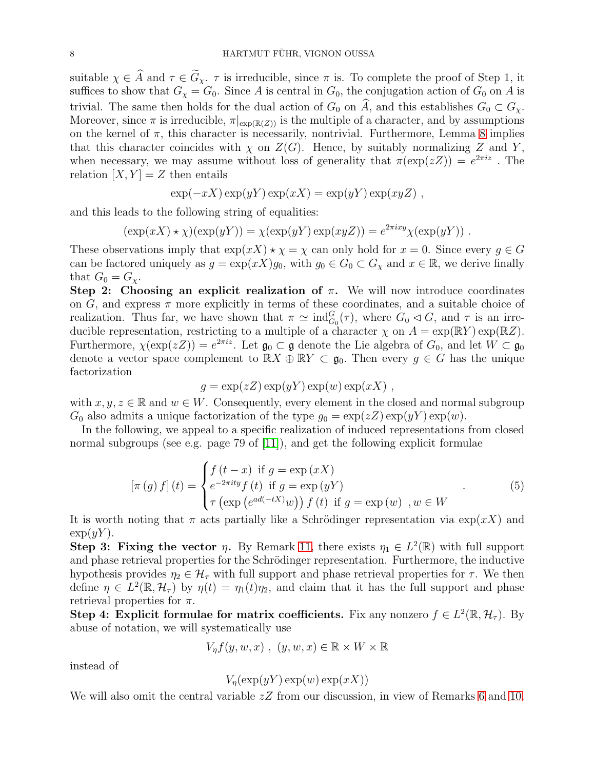suitable  $\chi \in \hat{A}$  and  $\tau \in \tilde{G}_{\chi}$ .  $\tau$  is irreducible, since  $\pi$  is. To complete the proof of Step 1, it suffices to show that  $G_{\chi} = G_0$ . Since A is central in  $G_0$ , the conjugation action of  $G_0$  on A is trivial. The same then holds for the dual action of  $G_0$  on  $\tilde{A}$ , and this establishes  $G_0 \subset G_{\chi}$ . Moreover, since  $\pi$  is irreducible,  $\pi|_{\exp(\mathbb{R}(Z))}$  is the multiple of a character, and by assumptions on the kernel of  $\pi$ , this character is necessarily, nontrivial. Furthermore, Lemma [8](#page-5-0) implies that this character coincides with  $\chi$  on  $Z(G)$ . Hence, by suitably normalizing Z and Y, when necessary, we may assume without loss of generality that  $\pi(\exp(zZ)) = e^{2\pi i z}$ . The relation  $[X, Y] = Z$  then entails

$$
\exp(-xX)\exp(yY)\exp(xX) = \exp(yY)\exp(xyZ) ,
$$

and this leads to the following string of equalities:

 $(\exp(xX) \star \chi)(\exp(yY)) = \chi(\exp(yY) \exp(xyZ)) = e^{2\pi ixy} \chi(\exp(yY)).$ 

These observations imply that  $\exp(xX) \star \chi = \chi$  can only hold for  $x = 0$ . Since every  $g \in G$ can be factored uniquely as  $g = \exp(xX)g_0$ , with  $g_0 \in G_0 \subset G_\chi$  and  $x \in \mathbb{R}$ , we derive finally that  $G_0 = G_{\chi}$ .

Step 2: Choosing an explicit realization of  $\pi$ . We will now introduce coordinates on G, and express  $\pi$  more explicitly in terms of these coordinates, and a suitable choice of realization. Thus far, we have shown that  $\pi \simeq \text{ind}_{G_0}^G(\tau)$ , where  $G_0 \lhd G$ , and  $\tau$  is an irreducible representation, restricting to a multiple of a character  $\chi$  on  $A = \exp(\mathbb{R}Y) \exp(\mathbb{R}Z)$ . Furthermore,  $\chi(\exp(zZ)) = e^{2\pi i z}$ . Let  $\mathfrak{g}_0 \subset \mathfrak{g}$  denote the Lie algebra of  $G_0$ , and let  $W \subset \mathfrak{g}_0$ denote a vector space complement to  $\mathbb{R}X \oplus \mathbb{R}Y \subset \mathfrak{g}_0$ . Then every  $g \in G$  has the unique factorization

$$
g = \exp(zZ) \exp(yY) \exp(w) \exp(xX) ,
$$

with  $x, y, z \in \mathbb{R}$  and  $w \in W$ . Consequently, every element in the closed and normal subgroup  $G_0$  also admits a unique factorization of the type  $g_0 = \exp(zZ) \exp(yY) \exp(w)$ .

In the following, we appeal to a specific realization of induced representations from closed normal subgroups (see e.g. page 79 of [\[11\]](#page-23-9)), and get the following explicit formulae

<span id="page-7-0"></span>
$$
\left[\pi\left(g\right)f\right](t) = \begin{cases} f\left(t-x\right) & \text{if } g = \exp\left(xX\right) \\ e^{-2\pi ity}f\left(t\right) & \text{if } g = \exp\left(yY\right) \\ \tau\left(\exp\left(e^{ad\left(-tX\right)}w\right)\right)f\left(t\right) & \text{if } g = \exp\left(w\right) \end{cases}, w \in W \tag{5}
$$

It is worth noting that  $\pi$  acts partially like a Schrödinger representation via  $\exp(xX)$  and  $\exp(yY)$ .

Step 3: Fixing the vector  $\eta$ . By Remark [11,](#page-6-1) there exists  $\eta_1 \in L^2(\mathbb{R})$  with full support and phase retrieval properties for the Schrödinger representation. Furthermore, the inductive hypothesis provides  $\eta_2 \in \mathcal{H}_{\tau}$  with full support and phase retrieval properties for  $\tau$ . We then define  $\eta \in L^2(\mathbb{R}, \mathcal{H}_\tau)$  by  $\eta(t) = \eta_1(t)\eta_2$ , and claim that it has the full support and phase retrieval properties for  $\pi$ .

Step 4: Explicit formulae for matrix coefficients. Fix any nonzero  $f \in L^2(\mathbb{R}, \mathcal{H}_{\tau})$ . By abuse of notation, we will systematically use

$$
V_{\eta}f(y, w, x) , (y, w, x) \in \mathbb{R} \times W \times \mathbb{R}
$$

instead of

$$
V_{\eta}(\exp(yY)\exp(w)\exp(xX))
$$

We will also omit the central variable  $zZ$  from our discussion, in view of Remarks [6](#page-4-0) and [10.](#page-5-1)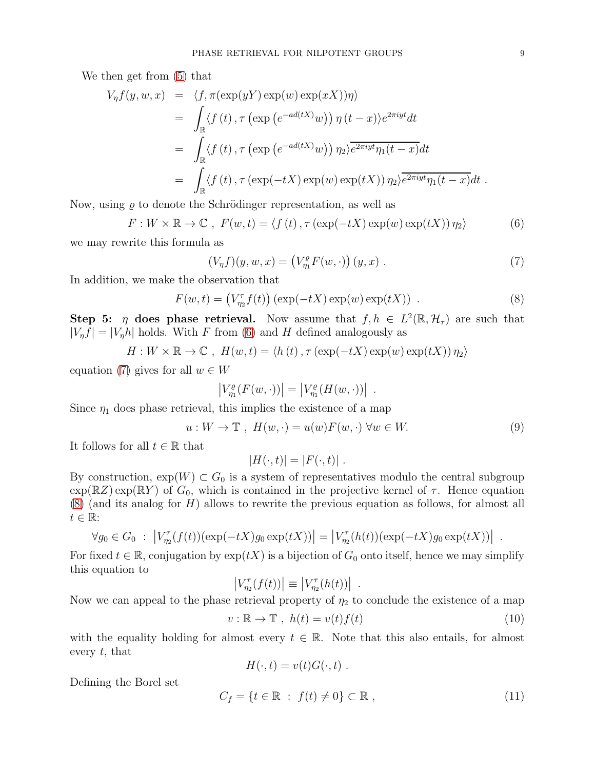We then get from [\(5\)](#page-7-0) that

$$
V_{\eta}f(y, w, x) = \langle f, \pi(\exp(yY) \exp(w) \exp(xX))\eta \rangle
$$
  
\n
$$
= \int_{\mathbb{R}} \langle f(t), \tau(\exp(e^{-ad(tX)}w)) \eta(t-x) \rangle e^{2\pi i y t} dt
$$
  
\n
$$
= \int_{\mathbb{R}} \langle f(t), \tau(\exp(e^{-ad(tX)}w)) \eta_2 \rangle e^{2\pi i y t} \eta_1(t-x) dt
$$
  
\n
$$
= \int_{\mathbb{R}} \langle f(t), \tau(\exp(-tX) \exp(w) \exp(tX)) \eta_2 \rangle e^{2\pi i y t} \eta_1(t-x) dt.
$$

Now, using  $\rho$  to denote the Schrödinger representation, as well as

<span id="page-8-0"></span>
$$
F: W \times \mathbb{R} \to \mathbb{C} \ , \ F(w, t) = \langle f(t) \, , \tau(\exp(-tX)\exp(w)\exp(tX)) \, \eta_2 \rangle \tag{6}
$$

we may rewrite this formula as

<span id="page-8-1"></span>
$$
(V_{\eta}f)(y, w, x) = (V_{\eta_1}^{\rho}F(w, \cdot))(y, x) .
$$
 (7)

In addition, we make the observation that

<span id="page-8-2"></span>
$$
F(w,t) = (V_{\eta_2}^{\tau} f(t)) (\exp(-tX) \exp(w) \exp(tX)). \qquad (8)
$$

Step 5:  $\eta$  does phase retrieval. Now assume that  $f, h \in L^2(\mathbb{R}, \mathcal{H}_{\tau})$  are such that  $|V_n f| = |V_n h|$  holds. With F from [\(6\)](#page-8-0) and H defined analogously as

$$
H: W \times \mathbb{R} \to \mathbb{C} , H(w, t) = \langle h(t) , \tau(\exp(-tX) \exp(w) \exp(tX)) \eta_2 \rangle
$$

equation [\(7\)](#page-8-1) gives for all  $w \in W$ 

$$
|V_{\eta_1}^{\varrho}(F(w,\cdot))|=|V_{\eta_1}^{\varrho}(H(w,\cdot))|
$$

Since  $\eta_1$  does phase retrieval, this implies the existence of a map

<span id="page-8-4"></span>
$$
u: W \to \mathbb{T}, H(w, \cdot) = u(w)F(w, \cdot) \,\forall w \in W. \tag{9}
$$

.

It follows for all  $t \in \mathbb{R}$  that

$$
|H(\cdot,t)| = |F(\cdot,t)|.
$$

By construction,  $\exp(W) \subset G_0$  is a system of representatives modulo the central subgroup  $\exp(\mathbb{R}Z) \exp(\mathbb{R}Y)$  of  $G_0$ , which is contained in the projective kernel of  $\tau$ . Hence equation  $(8)$  (and its analog for H) allows to rewrite the previous equation as follows, for almost all  $t \in \mathbb{R}$ :

$$
\forall g_0 \in G_0 : \left| V_{\eta_2}^{\tau}(f(t))(\exp(-tX)g_0 \exp(tX)) \right| = \left| V_{\eta_2}^{\tau}(h(t))(\exp(-tX)g_0 \exp(tX)) \right| .
$$

For fixed  $t \in \mathbb{R}$ , conjugation by  $\exp(tX)$  is a bijection of  $G_0$  onto itself, hence we may simplify this equation to

$$
\left|V_{\eta_2}^{\tau}(f(t))\right| \equiv \left|V_{\eta_2}^{\tau}(h(t))\right|
$$

Now we can appeal to the phase retrieval property of  $\eta_2$  to conclude the existence of a map

<span id="page-8-3"></span>
$$
v: \mathbb{R} \to \mathbb{T}, \ h(t) = v(t)f(t) \tag{10}
$$

.

with the equality holding for almost every  $t \in \mathbb{R}$ . Note that this also entails, for almost every  $t$ , that

$$
H(\cdot,t) = v(t)G(\cdot,t) .
$$

Defining the Borel set

<span id="page-8-5"></span>
$$
C_f = \{ t \in \mathbb{R} : f(t) \neq 0 \} \subset \mathbb{R} , \qquad (11)
$$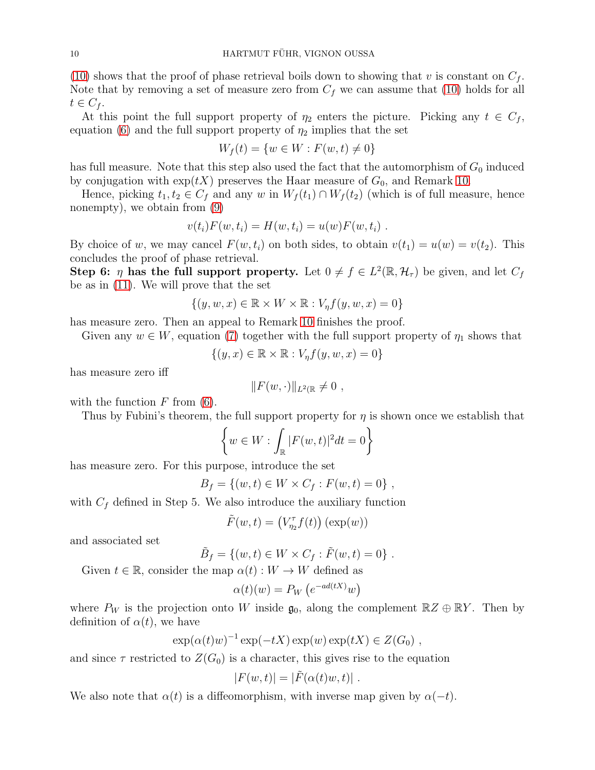[\(10\)](#page-8-3) shows that the proof of phase retrieval boils down to showing that v is constant on  $C_f$ . Note that by removing a set of measure zero from  $C_f$  we can assume that [\(10\)](#page-8-3) holds for all  $t \in C_f$ .

At this point the full support property of  $\eta_2$  enters the picture. Picking any  $t \in C_f$ , equation [\(6\)](#page-8-0) and the full support property of  $\eta_2$  implies that the set

$$
W_f(t) = \{ w \in W : F(w, t) \neq 0 \}
$$

has full measure. Note that this step also used the fact that the automorphism of  $G_0$  induced by conjugation with  $\exp(tX)$  preserves the Haar measure of  $G_0$ , and Remark [10.](#page-5-1)

Hence, picking  $t_1, t_2 \in C_f$  and any w in  $W_f(t_1) \cap W_f(t_2)$  (which is of full measure, hence nonempty), we obtain from [\(9\)](#page-8-4)

$$
v(t_i)F(w, t_i) = H(w, t_i) = u(w)F(w, t_i) .
$$

By choice of w, we may cancel  $F(w, t_i)$  on both sides, to obtain  $v(t_1) = u(w) = v(t_2)$ . This concludes the proof of phase retrieval.

Step 6:  $\eta$  has the full support property. Let  $0 \neq f \in L^2(\mathbb{R}, \mathcal{H}_{\tau})$  be given, and let  $C_f$ be as in [\(11\)](#page-8-5). We will prove that the set

$$
\{(y, w, x) \in \mathbb{R} \times W \times \mathbb{R} : V_{\eta} f(y, w, x) = 0\}
$$

has measure zero. Then an appeal to Remark [10](#page-5-1) finishes the proof.

Given any  $w \in W$ , equation [\(7\)](#page-8-1) together with the full support property of  $\eta_1$  shows that

$$
\{(y, x) \in \mathbb{R} \times \mathbb{R} : V_{\eta}f(y, w, x) = 0\}
$$

has measure zero iff

$$
||F(w,\cdot)||_{L^2(\mathbb{R})}\neq 0 ,
$$

with the function  $F$  from [\(6\)](#page-8-0).

Thus by Fubini's theorem, the full support property for  $\eta$  is shown once we establish that

$$
\left\{w\in W: \int_{\mathbb{R}}|F(w,t)|^2dt=0\right\}
$$

has measure zero. For this purpose, introduce the set

$$
B_f = \{(w, t) \in W \times C_f : F(w, t) = 0\},\,
$$

with  $C_f$  defined in Step 5. We also introduce the auxiliary function

$$
\tilde{F}(w,t) = \left(V_{\eta_2}^{\tau} f(t)\right)(\exp(w))
$$

and associated set

$$
\tilde{B}_f = \{(w, t) \in W \times C_f : \tilde{F}(w, t) = 0\}.
$$

Given  $t \in \mathbb{R}$ , consider the map  $\alpha(t): W \to W$  defined as

$$
\alpha(t)(w) = P_W\left(e^{-ad(tX)}w\right)
$$

where  $P_W$  is the projection onto W inside  $\mathfrak{g}_0$ , along the complement  $\mathbb{R}Z \oplus \mathbb{R}Y$ . Then by definition of  $\alpha(t)$ , we have

$$
\exp(\alpha(t)w)^{-1}\exp(-tX)\exp(w)\exp(tX) \in Z(G_0),
$$

and since  $\tau$  restricted to  $Z(G_0)$  is a character, this gives rise to the equation

$$
|F(w,t)| = |\tilde{F}(\alpha(t)w,t)|.
$$

We also note that  $\alpha(t)$  is a diffeomorphism, with inverse map given by  $\alpha(-t)$ .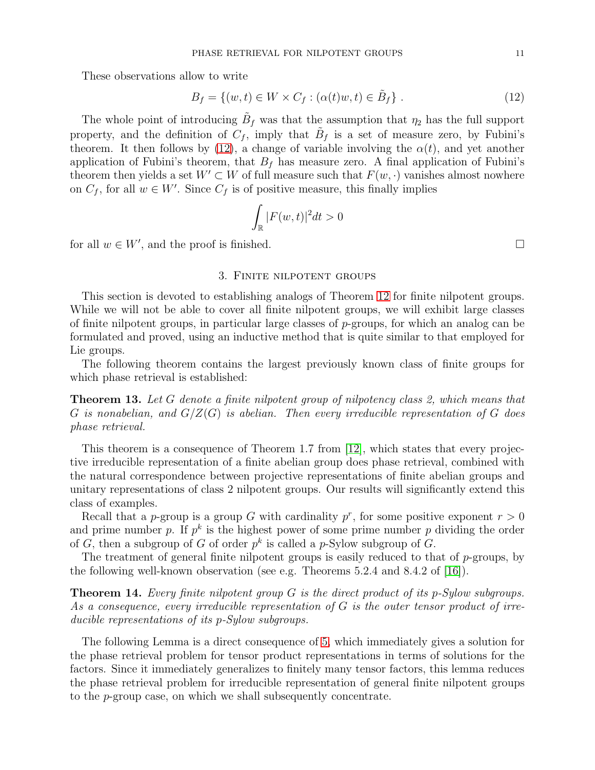These observations allow to write

<span id="page-10-0"></span>
$$
B_f = \{(w, t) \in W \times C_f : (\alpha(t)w, t) \in \tilde{B}_f\}.
$$
\n
$$
(12)
$$

The whole point of introducing  $\tilde{B}_f$  was that the assumption that  $\eta_2$  has the full support property, and the definition of  $C_f$ , imply that  $\tilde{B}_f$  is a set of measure zero, by Fubini's theorem. It then follows by [\(12\)](#page-10-0), a change of variable involving the  $\alpha(t)$ , and yet another application of Fubini's theorem, that  $B_f$  has measure zero. A final application of Fubini's theorem then yields a set  $W' \subset W$  of full measure such that  $F(w, \cdot)$  vanishes almost nowhere on  $C_f$ , for all  $w \in W'$ . Since  $C_f$  is of positive measure, this finally implies

$$
\int_{\mathbb{R}} |F(w,t)|^2 dt > 0
$$

for all  $w \in W'$ , and the proof is finished.

# 3. Finite nilpotent groups

This section is devoted to establishing analogs of Theorem [12](#page-6-0) for finite nilpotent groups. While we will not be able to cover all finite nilpotent groups, we will exhibit large classes of finite nilpotent groups, in particular large classes of  $p$ -groups, for which an analog can be formulated and proved, using an inductive method that is quite similar to that employed for Lie groups.

The following theorem contains the largest previously known class of finite groups for which phase retrieval is established:

<span id="page-10-1"></span>Theorem 13. Let G denote a finite nilpotent group of nilpotency class 2, which means that G is nonabelian, and  $G/Z(G)$  is abelian. Then every irreducible representation of G does phase retrieval.

This theorem is a consequence of Theorem 1.7 from [\[12\]](#page-23-7), which states that every projective irreducible representation of a finite abelian group does phase retrieval, combined with the natural correspondence between projective representations of finite abelian groups and unitary representations of class 2 nilpotent groups. Our results will significantly extend this class of examples.

Recall that a *p*-group is a group G with cardinality  $p^r$ , for some positive exponent  $r > 0$ and prime number p. If  $p^k$  is the highest power of some prime number p dividing the order of G, then a subgroup of G of order  $p^k$  is called a p-Sylow subgroup of G.

The treatment of general finite nilpotent groups is easily reduced to that of  $p$ -groups, by the following well-known observation (see e.g. Theorems 5.2.4 and 8.4.2 of [\[16\]](#page-24-1)).

Theorem 14. Every finite nilpotent group G is the direct product of its p-Sylow subgroups. As a consequence, every irreducible representation of G is the outer tensor product of irreducible representations of its p-Sylow subgroups.

The following Lemma is a direct consequence of [5,](#page-3-0) which immediately gives a solution for the phase retrieval problem for tensor product representations in terms of solutions for the factors. Since it immediately generalizes to finitely many tensor factors, this lemma reduces the phase retrieval problem for irreducible representation of general finite nilpotent groups to the p-group case, on which we shall subsequently concentrate.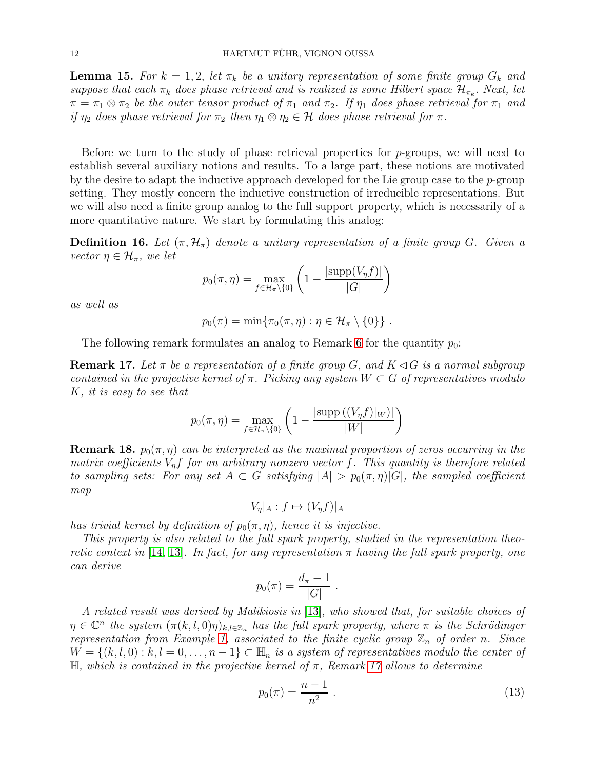<span id="page-11-3"></span>**Lemma 15.** For  $k = 1, 2$ , let  $\pi_k$  be a unitary representation of some finite group  $G_k$  and suppose that each  $\pi_k$  does phase retrieval and is realized is some Hilbert space  $\mathcal{H}_{\pi_k}$ . Next, let  $\pi = \pi_1 \otimes \pi_2$  be the outer tensor product of  $\pi_1$  and  $\pi_2$ . If  $\eta_1$  does phase retrieval for  $\pi_1$  and if  $\eta_2$  does phase retrieval for  $\pi_2$  then  $\eta_1 \otimes \eta_2 \in \mathcal{H}$  does phase retrieval for  $\pi$ .

Before we turn to the study of phase retrieval properties for  $p$ -groups, we will need to establish several auxiliary notions and results. To a large part, these notions are motivated by the desire to adapt the inductive approach developed for the Lie group case to the p-group setting. They mostly concern the inductive construction of irreducible representations. But we will also need a finite group analog to the full support property, which is necessarily of a more quantitative nature. We start by formulating this analog:

<span id="page-11-0"></span>**Definition 16.** Let  $(\pi, \mathcal{H}_{\pi})$  denote a unitary representation of a finite group G. Given a vector  $\eta \in \mathcal{H}_{\pi}$ , we let

$$
p_0(\pi, \eta) = \max_{f \in \mathcal{H}_{\pi} \setminus \{0\}} \left(1 - \frac{|\text{supp}(V_{\eta}f)|}{|G|}\right)
$$

as well as

$$
p_0(\pi)=\min\{\pi_0(\pi,\eta):\eta\in\mathcal{H}_\pi\setminus\{0\}\}.
$$

The following remark formulates an analog to Remark [6](#page-4-0) for the quantity  $p_0$ :

<span id="page-11-1"></span>**Remark 17.** Let  $\pi$  be a representation of a finite group G, and  $K \triangleleft G$  is a normal subgroup contained in the projective kernel of  $\pi$ . Picking any system  $W \subset G$  of representatives modulo K, it is easy to see that

$$
p_0(\pi, \eta) = \max_{f \in \mathcal{H}_\pi \backslash \{0\}} \left( 1 - \frac{|\text{supp}((V_\eta f)|_W)|}{|W|} \right)
$$

<span id="page-11-2"></span>**Remark 18.**  $p_0(\pi, \eta)$  can be interpreted as the maximal proportion of zeros occurring in the matrix coefficients  $V_n f$  for an arbitrary nonzero vector f. This quantity is therefore related to sampling sets: For any set  $A \subset G$  satisfying  $|A| > p_0(\pi, \eta) |G|$ , the sampled coefficient map

 $V_n|_A : f \mapsto (V_n f)|_A$ 

has trivial kernel by definition of  $p_0(\pi, \eta)$ , hence it is injective.

This property is also related to the full spark property, studied in the representation theo-retic context in [\[14,](#page-24-2) [13\]](#page-24-3). In fact, for any representation  $\pi$  having the full spark property, one can derive

$$
p_0(\pi) = \frac{d_{\pi} - 1}{|G|} \; .
$$

A related result was derived by Malikiosis in [\[13\]](#page-24-3), who showed that, for suitable choices of  $\eta \in \mathbb{C}^n$  the system  $(\pi(k, l, 0)\eta)_{k,l\in\mathbb{Z}_n}$  has the full spark property, where  $\pi$  is the Schrödinger representation from Example [1,](#page-1-0) associated to the finite cyclic group  $\mathbb{Z}_n$  of order n. Since  $W = \{(k, l, 0) : k, l = 0, \ldots, n-1\} \subset \mathbb{H}_n$  is a system of representatives modulo the center of  $\mathbb{H}$ , which is contained in the projective kernel of  $\pi$ , Remark [17](#page-11-1) allows to determine

<span id="page-11-4"></span>
$$
p_0(\pi) = \frac{n-1}{n^2} \ . \tag{13}
$$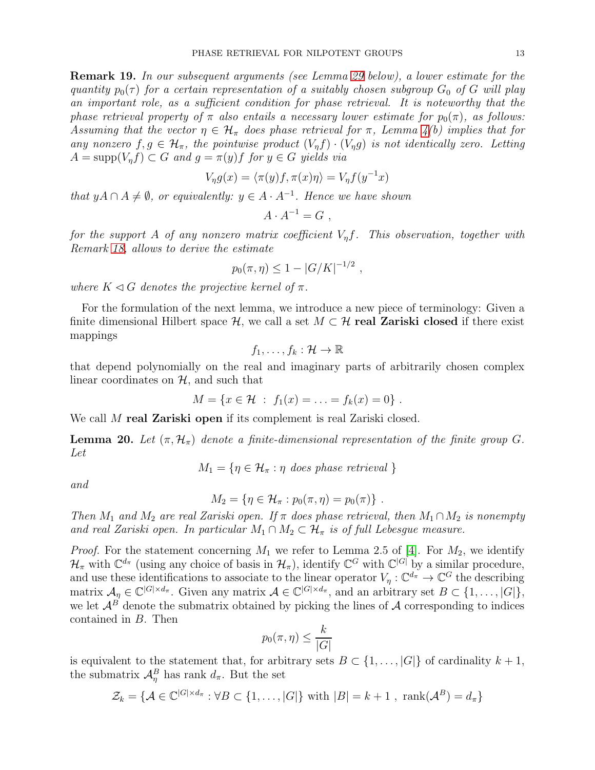Remark 19. In our subsequent arguments (see Lemma [29](#page-18-0) below), a lower estimate for the quantity  $p_0(\tau)$  for a certain representation of a suitably chosen subgroup  $G_0$  of G will play an important role, as a sufficient condition for phase retrieval. It is noteworthy that the phase retrieval property of  $\pi$  also entails a necessary lower estimate for  $p_0(\pi)$ , as follows: Assuming that the vector  $\eta \in \mathcal{H}_{\pi}$  does phase retrieval for  $\pi$ , Lemma [4\(](#page-2-0)b) implies that for any nonzero  $f, g \in \mathcal{H}_{\pi}$ , the pointwise product  $(V_n f) \cdot (V_n g)$  is not identically zero. Letting  $A = \text{supp}(V_n f) \subset G$  and  $g = \pi(y)f$  for  $y \in G$  yields via

$$
V_{\eta}g(x) = \langle \pi(y)f, \pi(x)\eta \rangle = V_{\eta}f(y^{-1}x)
$$

that  $yA \cap A \neq \emptyset$ , or equivalently:  $y \in A \cdot A^{-1}$ . Hence we have shown

$$
A \cdot A^{-1} = G ,
$$

for the support A of any nonzero matrix coefficient  $V_n f$ . This observation, together with Remark [18,](#page-11-2) allows to derive the estimate

$$
p_0(\pi, \eta) \leq 1 - |G/K|^{-1/2}
$$
,

where  $K \triangleleft G$  denotes the projective kernel of  $\pi$ .

For the formulation of the next lemma, we introduce a new piece of terminology: Given a finite dimensional Hilbert space  $\mathcal{H}$ , we call a set  $M \subset \mathcal{H}$  real Zariski closed if there exist mappings

$$
f_1,\ldots,f_k:\mathcal{H}\to\mathbb{R}
$$

that depend polynomially on the real and imaginary parts of arbitrarily chosen complex linear coordinates on  $H$ , and such that

$$
M = \{x \in \mathcal{H} : f_1(x) = \ldots = f_k(x) = 0\}.
$$

We call M real Zariski open if its complement is real Zariski closed.

<span id="page-12-0"></span>**Lemma 20.** Let  $(\pi, \mathcal{H}_{\pi})$  denote a finite-dimensional representation of the finite group G. Let

$$
M_1 = \{ \eta \in \mathcal{H}_\pi : \eta \text{ does phase retrieval } \}
$$

and

$$
M_2 = \{ \eta \in \mathcal{H}_\pi : p_0(\pi, \eta) = p_0(\pi) \} .
$$

Then  $M_1$  and  $M_2$  are real Zariski open. If  $\pi$  does phase retrieval, then  $M_1 \cap M_2$  is nonempty and real Zariski open. In particular  $M_1 \cap M_2 \subset \mathcal{H}_{\pi}$  is of full Lebesgue measure.

*Proof.* For the statement concerning  $M_1$  we refer to Lemma 2.5 of [\[4\]](#page-23-6). For  $M_2$ , we identify  $\mathcal{H}_{\pi}$  with  $\mathbb{C}^{d_{\pi}}$  (using any choice of basis in  $\mathcal{H}_{\pi}$ ), identify  $\mathbb{C}^{G}$  with  $\mathbb{C}^{|G|}$  by a similar procedure, and use these identifications to associate to the linear operator  $V_\eta : \mathbb{C}^{d_\pi} \to \mathbb{C}^G$  the describing matrix  $\mathcal{A}_{\eta} \in \mathbb{C}^{|G| \times d_{\pi}}$ . Given any matrix  $\mathcal{A} \in \mathbb{C}^{|G| \times d_{\pi}}$ , and an arbitrary set  $B \subset \{1, \ldots, |G|\}$ , we let  $\mathcal{A}^B$  denote the submatrix obtained by picking the lines of  $\mathcal A$  corresponding to indices contained in B. Then

$$
p_0(\pi, \eta) \le \frac{k}{|G|}
$$

is equivalent to the statement that, for arbitrary sets  $B \subset \{1, \ldots, |G|\}$  of cardinality  $k + 1$ , the submatrix  $\mathcal{A}_{\eta}^B$  has rank  $d_{\pi}$ . But the set

$$
\mathcal{Z}_k = \{ \mathcal{A} \in \mathbb{C}^{|G| \times d_\pi} : \forall B \subset \{1, \ldots, |G|\} \text{ with } |B| = k+1, \text{ rank}(\mathcal{A}^B) = d_\pi \}
$$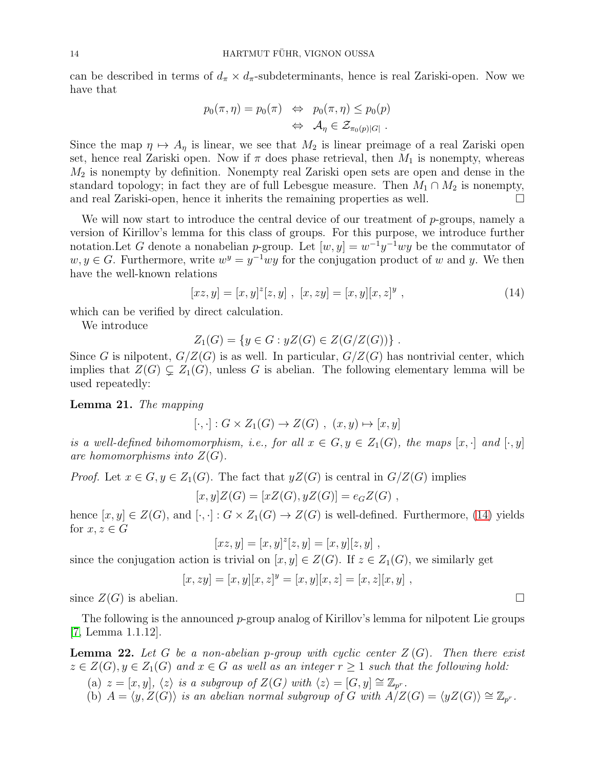can be described in terms of  $d_{\pi} \times d_{\pi}$ -subdeterminants, hence is real Zariski-open. Now we have that

$$
p_0(\pi, \eta) = p_0(\pi) \quad \Leftrightarrow \quad p_0(\pi, \eta) \le p_0(p)
$$
  

$$
\Leftrightarrow \quad \mathcal{A}_{\eta} \in \mathcal{Z}_{\pi_0(p)|G|}.
$$

Since the map  $\eta \mapsto A_{\eta}$  is linear, we see that  $M_2$  is linear preimage of a real Zariski open set, hence real Zariski open. Now if  $\pi$  does phase retrieval, then  $M_1$  is nonempty, whereas  $M_2$  is nonempty by definition. Nonempty real Zariski open sets are open and dense in the standard topology; in fact they are of full Lebesgue measure. Then  $M_1 \cap M_2$  is nonempty, and real Zariski-open, hence it inherits the remaining properties as well.  $\Box$ 

We will now start to introduce the central device of our treatment of  $p$ -groups, namely a version of Kirillov's lemma for this class of groups. For this purpose, we introduce further notation. Let G denote a nonabelian p-group. Let  $[w, y] = w^{-1}y^{-1}wy$  be the commutator of  $w, y \in G$ . Furthermore, write  $w^y = y^{-1}wy$  for the conjugation product of w and y. We then have the well-known relations

<span id="page-13-1"></span>
$$
[xz, y] = [x, y]^z [z, y], [x, zy] = [x, y][x, z]^y,
$$
\n(14)

which can be verified by direct calculation.

We introduce

$$
Z_1(G) = \{ y \in G : yZ(G) \in Z(G/Z(G)) \} .
$$

Since G is nilpotent,  $G/Z(G)$  is as well. In particular,  $G/Z(G)$  has nontrivial center, which implies that  $Z(G) \subsetneq Z_1(G)$ , unless G is abelian. The following elementary lemma will be used repeatedly:

<span id="page-13-2"></span>Lemma 21. The mapping

 $[\cdot, \cdot] : G \times Z_1(G) \to Z(G)$ ,  $(x, y) \mapsto [x, y]$ 

is a well-defined bihomomorphism, i.e., for all  $x \in G, y \in Z_1(G)$ , the maps  $[x, \cdot]$  and  $[\cdot, y]$ are homomorphisms into  $Z(G)$ .

*Proof.* Let  $x \in G, y \in Z_1(G)$ . The fact that  $yZ(G)$  is central in  $G/Z(G)$  implies

$$
[x, y]Z(G) = [xZ(G), yZ(G)] = e_GZ(G) ,
$$

hence  $[x, y] \in Z(G)$ , and  $[\cdot, \cdot] : G \times Z_1(G) \to Z(G)$  is well-defined. Furthermore, [\(14\)](#page-13-1) yields for  $x, z \in G$ 

$$
[xz, y] = [x, y]^z [z, y] = [x, y][z, y],
$$

since the conjugation action is trivial on  $[x, y] \in Z(G)$ . If  $z \in Z_1(G)$ , we similarly get

$$
[x, zy] = [x, y][x, z]^y = [x, y][x, z] = [x, z][x, y],
$$

since  $Z(G)$  is abelian.

The following is the announced p-group analog of Kirillov's lemma for nilpotent Lie groups [\[7,](#page-23-11) Lemma 1.1.12].

<span id="page-13-0"></span>**Lemma 22.** Let G be a non-abelian p-group with cyclic center  $Z(G)$ . Then there exist  $z \in Z(G), y \in Z_1(G)$  and  $x \in G$  as well as an integer  $r \geq 1$  such that the following hold:

- (a)  $z = [x, y], \langle z \rangle$  is a subgroup of  $Z(G)$  with  $\langle z \rangle = [G, y] \cong \mathbb{Z}_{p^r}$ .
- (b)  $A = \langle y, Z(G) \rangle$  is an abelian normal subgroup of G with  $A/Z(G) = \langle yZ(G) \rangle \cong \mathbb{Z}_{p^r}$ .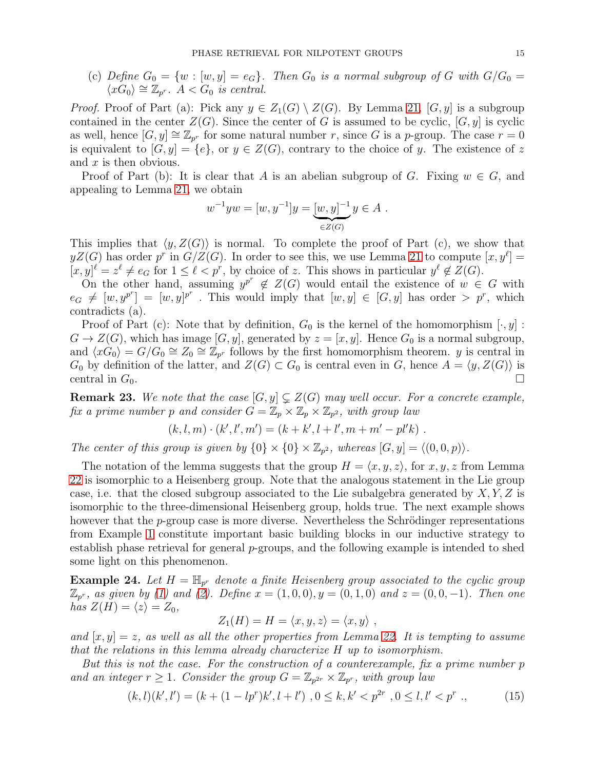(c) Define  $G_0 = \{w : [w, y] = e_G\}$ . Then  $G_0$  is a normal subgroup of G with  $G/G_0 =$  $\langle xG_0\rangle \cong \mathbb{Z}_{p^r}$ .  $A < G_0$  is central.

*Proof.* Proof of Part (a): Pick any  $y \in Z_1(G) \setminus Z(G)$ . By Lemma [21,](#page-13-2) [G, y] is a subgroup contained in the center  $Z(G)$ . Since the center of G is assumed to be cyclic,  $[G, y]$  is cyclic as well, hence  $[G, y] \cong \mathbb{Z}_{p^r}$  for some natural number r, since G is a p-group. The case  $r = 0$ is equivalent to  $[G, y] = \{e\}$ , or  $y \in Z(G)$ , contrary to the choice of y. The existence of z and  $x$  is then obvious.

Proof of Part (b): It is clear that A is an abelian subgroup of G. Fixing  $w \in G$ , and appealing to Lemma [21,](#page-13-2) we obtain

$$
w^{-1}yw = [w, y^{-1}]y = \underbrace{[w, y]^{-1}}_{\in Z(G)} y \in A.
$$

This implies that  $\langle y, Z(G) \rangle$  is normal. To complete the proof of Part (c), we show that  $yZ(G)$  has order p<sup>r</sup> in  $G/Z(G)$ . In order to see this, we use Lemma [21](#page-13-2) to compute  $[x, y^{\ell}] =$  $[x, y]^{\ell} = z^{\ell} \neq e_G$  for  $1 \leq \ell < p^r$ , by choice of z. This shows in particular  $y^{\ell} \notin Z(G)$ .

On the other hand, assuming  $y^{p^r} \notin Z(G)$  would entail the existence of  $w \in G$  with  $e_G \neq [w, y^{p^r}] = [w, y]^{p^r}$ . This would imply that  $[w, y] \in [G, y]$  has order  $\gt p^r$ , which contradicts (a).

Proof of Part (c): Note that by definition,  $G_0$  is the kernel of the homomorphism  $[\cdot, y]$ :  $G \to Z(G)$ , which has image  $[G, y]$ , generated by  $z = [x, y]$ . Hence  $G_0$  is a normal subgroup, and  $\langle x\hat{G}_0\rangle = G/G_0 \cong Z_0 \cong \mathbb{Z}_{p^r}$  follows by the first homomorphism theorem. y is central in  $G_0$  by definition of the latter, and  $Z(G) \subset G_0$  is central even in G, hence  $A = \langle y, Z(G) \rangle$  is central in  $G_0$ .

**Remark 23.** We note that the case  $[G, y] \subsetneq Z(G)$  may well occur. For a concrete example, fix a prime number p and consider  $G = \mathbb{Z}_p \times \mathbb{Z}_p \times \mathbb{Z}_{p^2}$ , with group law

$$
(k, l, m) \cdot (k', l', m') = (k + k', l + l', m + m' - pl'k) .
$$

The center of this group is given by  $\{0\} \times \{0\} \times \mathbb{Z}_{p^2}$ , whereas  $[G, y] = \langle (0, 0, p) \rangle$ .

The notation of the lemma suggests that the group  $H = \langle x, y, z \rangle$ , for  $x, y, z$  from Lemma [22](#page-13-0) is isomorphic to a Heisenberg group. Note that the analogous statement in the Lie group case, i.e. that the closed subgroup associated to the Lie subalgebra generated by  $X, Y, Z$  is isomorphic to the three-dimensional Heisenberg group, holds true. The next example shows however that the  $p$ -group case is more diverse. Nevertheless the Schrödinger representations from Example [1](#page-1-0) constitute important basic building blocks in our inductive strategy to establish phase retrieval for general p-groups, and the following example is intended to shed some light on this phenomenon.

**Example 24.** Let  $H = \mathbb{H}_{p^r}$  denote a finite Heisenberg group associated to the cyclic group  $\mathbb{Z}_{p^r},$  as given by [\(1\)](#page-1-2) and [\(2\)](#page-1-3). Define  $x = (1,0,0), y = (0,1,0)$  and  $z = (0,0,-1)$ . Then one has  $Z(H) = \langle z \rangle = Z_0$ ,

$$
Z_1(H) = H = \langle x, y, z \rangle = \langle x, y \rangle ,
$$

and  $[x, y] = z$ , as well as all the other properties from Lemma [22.](#page-13-0) It is tempting to assume that the relations in this lemma already characterize H up to isomorphism.

But this is not the case. For the construction of a counterexample, fix a prime number p and an integer  $r \geq 1$ . Consider the group  $G = \mathbb{Z}_{p^{2r}} \times \mathbb{Z}_{p^r}$ , with group law

<span id="page-14-0"></span>
$$
(k,l)(k',l') = (k + (1 - lpr)k', l + l'), 0 \le k, k' < p2r, 0 \le l, l' < pr .
$$
\n(15)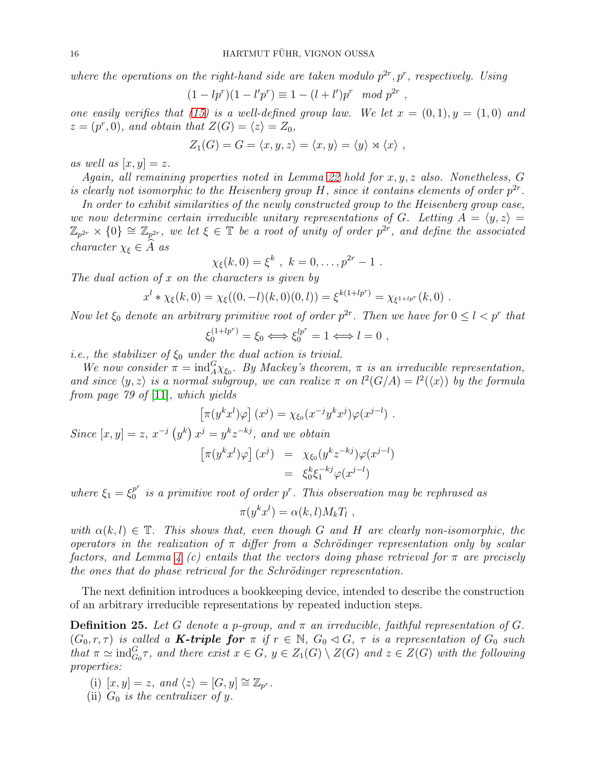where the operations on the right-hand side are taken modulo  $p^{2r}, p^{r}$ , respectively. Using

$$
(1 - lpr)(1 - l'pr) \equiv 1 - (l + l')pr \mod p^{2r},
$$

one easily verifies that [\(15\)](#page-14-0) is a well-defined group law. We let  $x = (0, 1), y = (1, 0)$  and  $z = (p^r, 0)$ , and obtain that  $Z(G) = \langle z \rangle = Z_0$ ,

$$
Z_1(G) = G = \langle x, y, z \rangle = \langle x, y \rangle = \langle y \rangle \rtimes \langle x \rangle ,
$$

as well as  $[x, y] = z$ .

Again, all remaining properties noted in Lemma [22](#page-13-0) hold for x, y, z also. Nonetheless, G is clearly not isomorphic to the Heisenberg group H, since it contains elements of order  $p^{2r}$ .

In order to exhibit similarities of the newly constructed group to the Heisenberg group case, we now determine certain irreducible unitary representations of G. Letting  $A = \langle y, z \rangle =$  $\mathbb{Z}_{p^{2r}}\times\{0\}\cong\mathbb{Z}_{p^{2r}},$  we let  $\xi\in\mathbb{T}$  be a root of unity of order  $p^{2r}$ , and define the associated character  $\chi_{\xi} \in \widehat{A}$  as

$$
\chi_{\xi}(k,0) = \xi^k
$$
,  $k = 0, ..., p^{2r} - 1$ .

The dual action of  $x$  on the characters is given by

$$
x^{l} * \chi_{\xi}(k,0) = \chi_{\xi}((0,-l)(k,0)(0,l)) = \xi^{k(1+lp^{r})} = \chi_{\xi^{1+lp^{r}}}(k,0).
$$

Now let  $\xi_0$  denote an arbitrary primitive root of order  $p^{2r}$ . Then we have for  $0 \leq l < p^r$  that

$$
\xi_0^{(1+lp^r)} = \xi_0 \Longleftrightarrow \xi_0^{lp^r} = 1 \Longleftrightarrow l = 0 ,
$$

i.e., the stabilizer of  $\xi_0$  under the dual action is trivial.

We now consider  $\pi = \text{ind}_{A}^{G} \chi_{\xi_{0}}$ . By Mackey's theorem,  $\pi$  is an irreducible representation, and since  $\langle y, z \rangle$  is a normal subgroup, we can realize  $\pi$  on  $l^2(G/A) = l^2(\langle x \rangle)$  by the formula from page 79 of [\[11\]](#page-23-9), which yields

$$
\left[\pi(y^k x^l)\varphi\right](x^j) = \chi_{\xi_0}(x^{-j}y^k x^j)\varphi(x^{j-l}) .
$$

Since  $[x, y] = z$ ,  $x^{-j} (y^k) x^j = y^k z^{-kj}$ , and we obtain

$$
\begin{array}{rcl}\n\left[\pi(y^k x^l)\varphi\right](x^j) & = & \chi_{\xi_0}(y^k z^{-kj})\varphi(x^{j-l}) \\
& = & \xi_0^k \xi_1^{-kj}\varphi(x^{j-l})\n\end{array}
$$

where  $\xi_1 = \xi_0^{p^r}$  $_0^{p'}$  is a primitive root of order  $p^r$ . This observation may be rephrased as

$$
\pi(y^k x^l) = \alpha(k,l) M_k T_l ,
$$

with  $\alpha(k, l) \in \mathbb{T}$ . This shows that, even though G and H are clearly non-isomorphic, the operators in the realization of  $\pi$  differ from a Schrödinger representation only by scalar factors, and Lemma [4](#page-2-0) (c) entails that the vectors doing phase retrieval for  $\pi$  are precisely the ones that do phase retrieval for the Schrödinger representation.

The next definition introduces a bookkeeping device, intended to describe the construction of an arbitrary irreducible representations by repeated induction steps.

<span id="page-15-0"></span>**Definition 25.** Let G denote a p-group, and  $\pi$  an irreducible, faithful representation of G.  $(G_0, r, \tau)$  is called a **K-triple for**  $\pi$  if  $r \in \mathbb{N}$ ,  $G_0 \lhd G$ ,  $\tau$  is a representation of  $G_0$  such that  $\pi \simeq \text{ind}_{G_0}^G \tau$ , and there exist  $x \in G$ ,  $y \in Z_1(G) \setminus Z(G)$  and  $z \in Z(G)$  with the following properties:

- (i)  $[x, y] = z$ , and  $\langle z \rangle = [G, y] \cong \mathbb{Z}_{p^r}$ .
- (ii)  $G_0$  is the centralizer of y.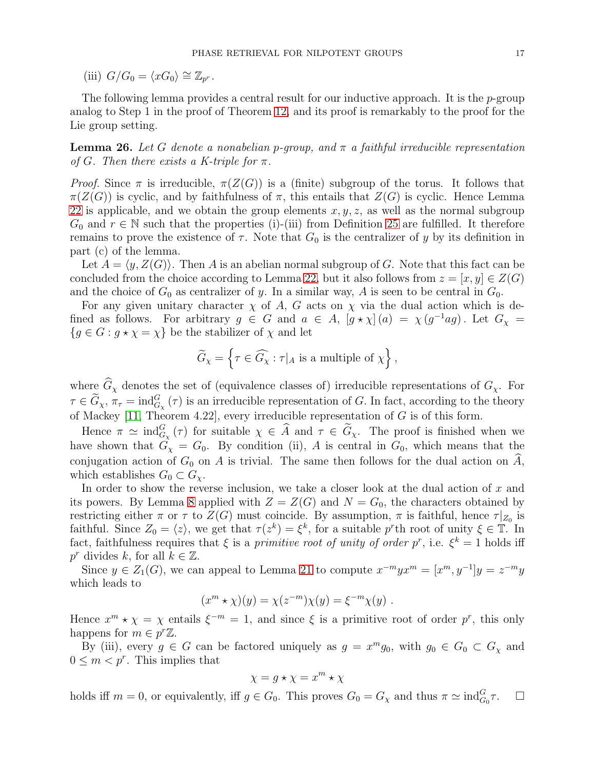(iii)  $G/G_0 = \langle xG_0 \rangle \cong \mathbb{Z}_{p^r}$ .

The following lemma provides a central result for our inductive approach. It is the  $p$ -group analog to Step 1 in the proof of Theorem [12,](#page-6-0) and its proof is remarkably to the proof for the Lie group setting.

<span id="page-16-0"></span>**Lemma 26.** Let G denote a nonabelian p-group, and  $\pi$  a faithful irreducible representation of G. Then there exists a K-triple for  $\pi$ .

*Proof.* Since  $\pi$  is irreducible,  $\pi(Z(G))$  is a (finite) subgroup of the torus. It follows that  $\pi(Z(G))$  is cyclic, and by faithfulness of  $\pi$ , this entails that  $Z(G)$  is cyclic. Hence Lemma [22](#page-13-0) is applicable, and we obtain the group elements  $x, y, z$ , as well as the normal subgroup  $G_0$  and  $r \in \mathbb{N}$  such that the properties (i)-(iii) from Definition [25](#page-15-0) are fulfilled. It therefore remains to prove the existence of  $\tau$ . Note that  $G_0$  is the centralizer of y by its definition in part (c) of the lemma.

Let  $A = \langle y, Z(G) \rangle$ . Then A is an abelian normal subgroup of G. Note that this fact can be concluded from the choice according to Lemma [22,](#page-13-0) but it also follows from  $z = [x, y] \in Z(G)$ and the choice of  $G_0$  as centralizer of y. In a similar way, A is seen to be central in  $G_0$ .

For any given unitary character  $\chi$  of A, G acts on  $\chi$  via the dual action which is defined as follows. For arbitrary  $g \in G$  and  $a \in A$ ,  $[g \star \chi](a) = \chi(g^{-1}ag)$ . Let  $G_{\chi} =$  ${g \in G : g \star \chi = \chi}$  be the stabilizer of  $\chi$  and let

$$
\widetilde{G}_{\chi}=\left\{\tau\in\widehat{G_{\chi}}:\tau|_A\text{ is a multiple of }\chi\right\},
$$

where  $\widehat{G}_{\chi}$  denotes the set of (equivalence classes of) irreducible representations of  $G_{\chi}$ . For  $\tau \in \widetilde{G}_{\chi}, \pi_{\tau} = \text{ind}_{G_{\chi}}^{G}(\tau)$  is an irreducible representation of G. In fact, according to the theory of Mackey [\[11,](#page-23-9) Theorem 4.22], every irreducible representation of G is of this form.

Hence  $\pi \simeq \text{ind}_{G_\chi}^G(\tau)$  for suitable  $\chi \in \widehat{A}$  and  $\tau \in \widetilde{G}_\chi$ . The proof is finished when we have shown that  $G_X = G_0$ . By condition (ii), A is central in  $G_0$ , which means that the conjugation action of  $G_0$  on A is trivial. The same then follows for the dual action on A, which establishes  $G_0 \subset G_{\chi}$ .

In order to show the reverse inclusion, we take a closer look at the dual action of  $x$  and its powers. By Lemma [8](#page-5-0) applied with  $Z = Z(G)$  and  $N = G_0$ , the characters obtained by restricting either  $\pi$  or  $\tau$  to  $Z(G)$  must coincide. By assumption,  $\pi$  is faithful, hence  $\tau|_{Z_0}$  is faithful. Since  $Z_0 = \langle z \rangle$ , we get that  $\tau(z^k) = \xi^k$ , for a suitable p<sup>r</sup>th root of unity  $\xi \in \mathbb{T}$ . In fact, faithfulness requires that  $\xi$  is a primitive root of unity of order  $p^r$ , i.e.  $\xi^k = 1$  holds iff  $p^r$  divides k, for all  $k \in \mathbb{Z}$ .

Since  $y \in Z_1(G)$ , we can appeal to Lemma [21](#page-13-2) to compute  $x^{-m}yx^m = [x^m, y^{-1}]y = z^{-m}y$ which leads to

$$
(xm \star \chi)(y) = \chi(z-m)\chi(y) = \xi-m\chi(y) .
$$

Hence  $x^m \star \chi = \chi$  entails  $\xi^{-m} = 1$ , and since  $\xi$  is a primitive root of order p<sup>r</sup>, this only happens for  $m \in p^r \mathbb{Z}$ .

By (iii), every  $g \in G$  can be factored uniquely as  $g = x^m g_0$ , with  $g_0 \in G_0 \subset G_\chi$  and  $0 \leq m < p^r$ . This implies that

$$
\chi = g \star \chi = x^m \star \chi
$$

holds iff  $m = 0$ , or equivalently, iff  $g \in G_0$ . This proves  $G_0 = G_\chi$  and thus  $\pi \simeq \text{ind}_{G_0}^G \tau$ .  $\Box$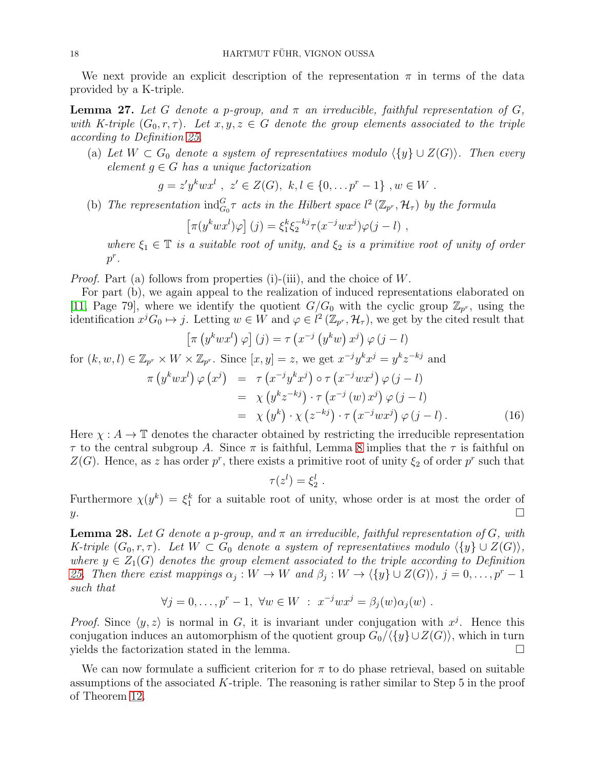We next provide an explicit description of the representation  $\pi$  in terms of the data provided by a K-triple.

<span id="page-17-0"></span>**Lemma 27.** Let G denote a p-group, and  $\pi$  an irreducible, faithful representation of G, with K-triple  $(G_0, r, \tau)$ . Let  $x, y, z \in G$  denote the group elements associated to the triple according to Definition [25.](#page-15-0)

(a) Let  $W \subset G_0$  denote a system of representatives modulo  $\langle \{y\} \cup Z(G) \rangle$ . Then every element  $g \in G$  has a unique factorization

$$
g = z'y^kwx^l
$$
,  $z' \in Z(G)$ ,  $k, l \in \{0, ..., p^r - 1\}$ ,  $w \in W$ .

(b) The representation  $\text{ind}_{G_0}^G \tau$  acts in the Hilbert space  $l^2(\mathbb{Z}_{p^r}, \mathcal{H}_{\tau})$  by the formula

$$
\left[\pi(y^kwx^l)\varphi\right](j) = \xi_1^k\xi_2^{-kj}\tau(x^{-j}wx^j)\varphi(j-l) ,
$$

where  $\xi_1 \in \mathbb{T}$  is a suitable root of unity, and  $\xi_2$  is a primitive root of unity of order  $p^r$ .

*Proof.* Part (a) follows from properties (i)-(iii), and the choice of  $W$ .

For part (b), we again appeal to the realization of induced representations elaborated on [\[11,](#page-23-9) Page 79], where we identify the quotient  $G/G_0$  with the cyclic group  $\mathbb{Z}_{p^r}$ , using the identification  $x^j G_0 \mapsto j$ . Letting  $w \in W$  and  $\varphi \in l^2(\mathbb{Z}_{p^r}, \mathcal{H}_{\tau})$ , we get by the cited result that

$$
\begin{aligned}\n\left[\pi\left(y^kwx^l\right)\varphi\right](j) &= \tau\left(x^{-j}\left(y^kw\right)x^j\right)\varphi\left(j-l\right) \\
\text{for } (k, w, l) \in \mathbb{Z}_{p^r} \times W \times \mathbb{Z}_{p^r}.\n\text{ Since } [x, y] = z, \text{ we get } x^{-j}y^k x^j = y^k z^{-kj} \text{ and} \\
\pi\left(y^kwx^l\right)\varphi\left(x^j\right) &= \tau\left(x^{-j}y^kx^j\right)\circ\tau\left(x^{-j}wx^j\right)\varphi\left(j-l\right) \\
&= \chi\left(y^k z^{-kj}\right)\cdot\tau\left(x^{-j}\left(w\right)x^j\right)\varphi\left(j-l\right) \\
&= \chi\left(y^k\right)\cdot\chi\left(z^{-kj}\right)\cdot\tau\left(x^{-j}wx^j\right)\varphi\left(j-l\right).\n\end{aligned}\n\tag{16}
$$

Here  $\chi : A \to \mathbb{T}$  denotes the character obtained by restricting the irreducible representation  $\tau$  to the central subgroup A. Since  $\pi$  is faithful, Lemma [8](#page-5-0) implies that the  $\tau$  is faithful on  $Z(G)$ . Hence, as z has order p<sup>r</sup>, there exists a primitive root of unity  $\xi_2$  of order p<sup>r</sup> such that

$$
\tau(z^l)=\xi_2^l.
$$

Furthermore  $\chi(y^k) = \xi_1^k$  for a suitable root of unity, whose order is at most the order of  $y.$ 

<span id="page-17-1"></span>**Lemma 28.** Let G denote a p-group, and  $\pi$  an irreducible, faithful representation of G, with K-triple  $(G_0, r, \tau)$ . Let  $W \subset G_0$  denote a system of representatives modulo  $\langle \{y\} \cup Z(G) \rangle$ , where  $y \in Z_1(G)$  denotes the group element associated to the triple according to Definition [25.](#page-15-0) Then there exist mappings  $\alpha_j: W \to W$  and  $\beta_j: W \to \langle \{y\} \cup Z(G) \rangle, j = 0, \ldots, p^r - 1$ such that

$$
\forall j = 0, \dots, p^r - 1, \ \forall w \in W \ : \ x^{-j}wx^j = \beta_j(w)\alpha_j(w) \ .
$$

*Proof.* Since  $\langle y, z \rangle$  is normal in G, it is invariant under conjugation with  $x^j$ . Hence this conjugation induces an automorphism of the quotient group  $G_0/\langle \{y\} \cup Z(G)\rangle$ , which in turn yields the factorization stated in the lemma.

We can now formulate a sufficient criterion for  $\pi$  to do phase retrieval, based on suitable assumptions of the associated  $K$ -triple. The reasoning is rather similar to Step 5 in the proof of Theorem [12.](#page-6-0)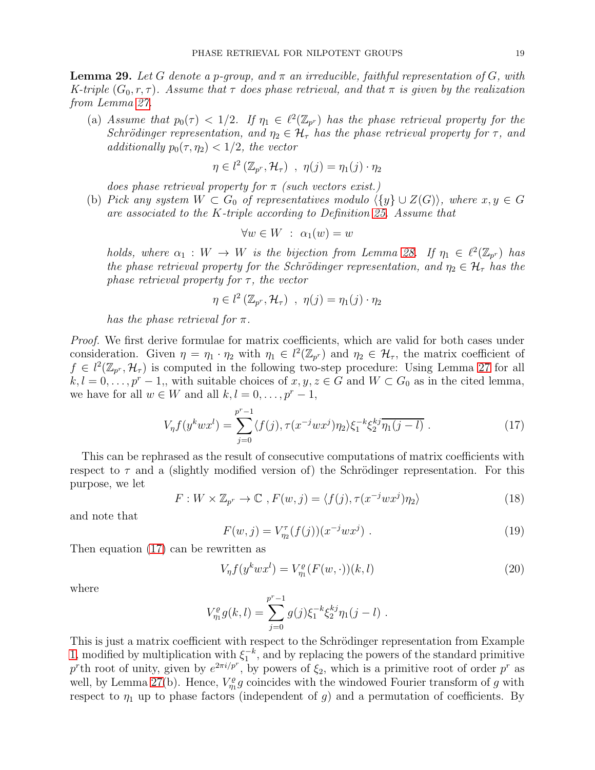<span id="page-18-0"></span>**Lemma 29.** Let G denote a p-group, and  $\pi$  an irreducible, faithful representation of G, with K-triple  $(G_0, r, \tau)$ . Assume that  $\tau$  does phase retrieval, and that  $\pi$  is given by the realization from Lemma [27.](#page-17-0)

(a) Assume that  $p_0(\tau) < 1/2$ . If  $\eta_1 \in \ell^2(\mathbb{Z}_{p^r})$  has the phase retrieval property for the Schrödinger representation, and  $\eta_2 \in \mathcal{H}_{\tau}$  has the phase retrieval property for  $\tau$ , and additionally  $p_0(\tau, \eta_2) < 1/2$ , the vector

$$
\eta \in l^2\left(\mathbb{Z}_{p^r}, \mathcal{H}_{\tau}\right) , \eta(j) = \eta_1(j) \cdot \eta_2
$$

does phase retrieval property for  $\pi$  (such vectors exist.)

(b) Pick any system  $W \subset G_0$  of representatives modulo  $\langle \{y\} \cup Z(G) \rangle$ , where  $x, y \in G$ are associated to the K-triple according to Definition [25.](#page-15-0) Assume that

$$
\forall w \in W \; : \; \alpha_1(w) = w
$$

holds, where  $\alpha_1 : W \to W$  is the bijection from Lemma [28.](#page-17-1) If  $\eta_1 \in \ell^2(\mathbb{Z}_{p^r})$  has the phase retrieval property for the Schrödinger representation, and  $\eta_2 \in \mathcal{H}_{\tau}$  has the phase retrieval property for  $\tau$ , the vector

$$
\eta \in l^2\left(\mathbb{Z}_{p^r}, \mathcal{H}_{\tau}\right) , \eta(j) = \eta_1(j) \cdot \eta_2
$$

has the phase retrieval for  $\pi$ .

Proof. We first derive formulae for matrix coefficients, which are valid for both cases under consideration. Given  $\eta = \eta_1 \cdot \eta_2$  with  $\eta_1 \in l^2(\mathbb{Z}_{p^r})$  and  $\eta_2 \in \mathcal{H}_{\tau}$ , the matrix coefficient of  $f \in l^2(\mathbb{Z}_{p^r}, \mathcal{H}_{\tau})$  is computed in the following two-step procedure: Using Lemma [27](#page-17-0) for all  $k, l = 0, \ldots, p^r - 1$ , with suitable choices of  $x, y, z \in G$  and  $W \subset G_0$  as in the cited lemma, we have for all  $w \in W$  and all  $k, l = 0, \ldots, p^r - 1$ ,

<span id="page-18-1"></span>
$$
V_{\eta}f(y^kwx^l) = \sum_{j=0}^{p^r-1} \langle f(j), \tau(x^{-j}wx^j)\eta_2 \rangle \xi_1^{-k}\xi_2^{kj}\overline{\eta_1(j-l)} . \tag{17}
$$

This can be rephrased as the result of consecutive computations of matrix coefficients with respect to  $\tau$  and a (slightly modified version of) the Schrödinger representation. For this purpose, we let

<span id="page-18-2"></span>
$$
F: W \times \mathbb{Z}_{p^r} \to \mathbb{C} \ , F(w, j) = \langle f(j), \tau(x^{-j}wx^j)\eta_2 \rangle \tag{18}
$$

and note that

<span id="page-18-4"></span>
$$
F(w, j) = V_{\eta_2}^{\tau}(f(j))(x^{-j}wx^j) \tag{19}
$$

Then equation [\(17\)](#page-18-1) can be rewritten as

<span id="page-18-3"></span>
$$
V_{\eta} f(y^k w x^l) = V_{\eta_1}^{\varrho} (F(w, \cdot))(k, l)
$$
\n(20)

where

$$
V_{\eta_1}^{\varrho} g(k,l) = \sum_{j=0}^{p^r-1} g(j) \xi_1^{-k} \xi_2^{kj} \eta_1(j-l) .
$$

This is just a matrix coefficient with respect to the Schrödinger representation from Example [1,](#page-1-0) modified by multiplication with  $\xi_1^{-k}$ , and by replacing the powers of the standard primitive p<sup>r</sup>th root of unity, given by  $e^{2\pi i/p^r}$ , by powers of  $\xi_2$ , which is a primitive root of order p<sup>r</sup> as well, by Lemma [27\(](#page-17-0)b). Hence,  $V_{\eta_1}^{\rho} g$  coincides with the windowed Fourier transform of g with respect to  $\eta_1$  up to phase factors (independent of g) and a permutation of coefficients. By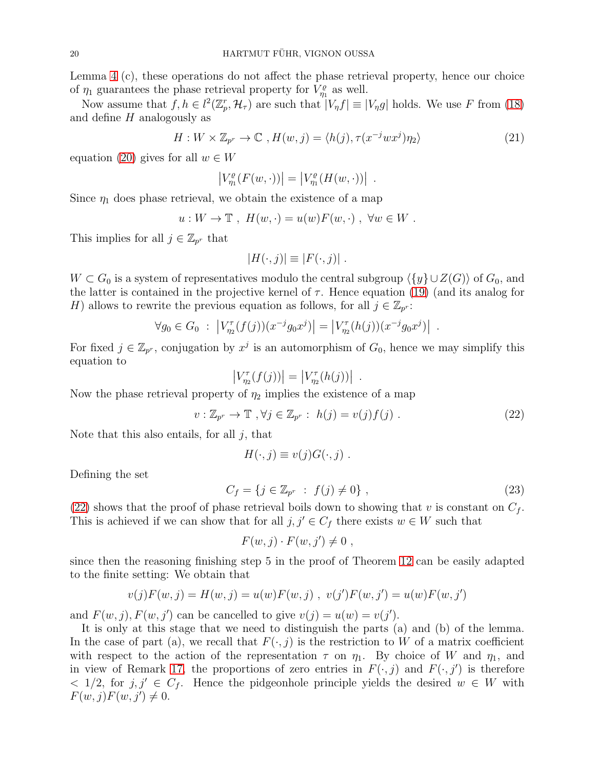Lemma [4](#page-2-0) (c), these operations do not affect the phase retrieval property, hence our choice of  $\eta_1$  guarantees the phase retrieval property for  $V_{\eta_1}^{\rho}$  as well.

Now assume that  $f, h \in l^2(\mathbb{Z}_p^r, \mathcal{H}_\tau)$  are such that  $|V_\eta f| \equiv |V_\eta g|$  holds. We use F from [\(18\)](#page-18-2) and define H analogously as

$$
H: W \times \mathbb{Z}_{p^r} \to \mathbb{C} \ , H(w, j) = \langle h(j), \tau(x^{-j}wx^j)\eta_2 \rangle \tag{21}
$$

.

equation [\(20\)](#page-18-3) gives for all  $w \in W$ 

$$
|V^{\varrho}_{\eta_1}(F(w,\cdot))|=|V^{\varrho}_{\eta_1}(H(w,\cdot))|
$$

Since  $\eta_1$  does phase retrieval, we obtain the existence of a map

$$
u: W \to \mathbb{T}, H(w, \cdot) = u(w)F(w, \cdot), \forall w \in W.
$$

This implies for all  $j \in \mathbb{Z}_{p^r}$  that

$$
|H(\cdot,j)| \equiv |F(\cdot,j)|.
$$

 $W \subset G_0$  is a system of representatives modulo the central subgroup  $\langle \{y\} \cup Z(G)\rangle$  of  $G_0$ , and the latter is contained in the projective kernel of  $\tau$ . Hence equation [\(19\)](#page-18-4) (and its analog for H) allows to rewrite the previous equation as follows, for all  $j \in \mathbb{Z}_{p^r}$ :

$$
\forall g_0 \in G_0 : \left| V_{\eta_2}^{\tau}(f(j))(x^{-j}g_0x^j) \right| = \left| V_{\eta_2}^{\tau}(h(j))(x^{-j}g_0x^j) \right| .
$$

For fixed  $j \in \mathbb{Z}_{p^r}$ , conjugation by  $x^j$  is an automorphism of  $G_0$ , hence we may simplify this equation to

$$
|V_{\eta_2}^{\tau}(f(j))| = |V_{\eta_2}^{\tau}(h(j))|
$$

Now the phase retrieval property of  $\eta_2$  implies the existence of a map

<span id="page-19-0"></span>
$$
v: \mathbb{Z}_{p^r} \to \mathbb{T}, \forall j \in \mathbb{Z}_{p^r}: h(j) = v(j)f(j).
$$
 (22)

.

Note that this also entails, for all  $j$ , that

$$
H(\cdot, j) \equiv v(j)G(\cdot, j) .
$$

Defining the set

$$
C_f = \{ j \in \mathbb{Z}_{p^r} : f(j) \neq 0 \}, \qquad (23)
$$

[\(22\)](#page-19-0) shows that the proof of phase retrieval boils down to showing that v is constant on  $C_f$ . This is achieved if we can show that for all  $j, j' \in C_f$  there exists  $w \in W$  such that

$$
F(w, j) \cdot F(w, j') \neq 0 ,
$$

since then the reasoning finishing step 5 in the proof of Theorem [12](#page-6-0) can be easily adapted to the finite setting: We obtain that

$$
v(j)F(w, j) = H(w, j) = u(w)F(w, j)
$$
,  $v(j')F(w, j') = u(w)F(w, j')$ 

and  $F(w, j)$ ,  $F(w, j')$  can be cancelled to give  $v(j) = u(w) = v(j')$ .

It is only at this stage that we need to distinguish the parts (a) and (b) of the lemma. In the case of part (a), we recall that  $F(\cdot, j)$  is the restriction to W of a matrix coefficient with respect to the action of the representation  $\tau$  on  $\eta_1$ . By choice of W and  $\eta_1$ , and in view of Remark [17,](#page-11-1) the proportions of zero entries in  $F(\cdot, j)$  and  $F(\cdot, j')$  is therefore  $\langle 1/2, \text{ for } j, j' \in C_f$ . Hence the pidgeonhole principle yields the desired  $w \in W$  with  $F(w, j)F(w, j') \neq 0.$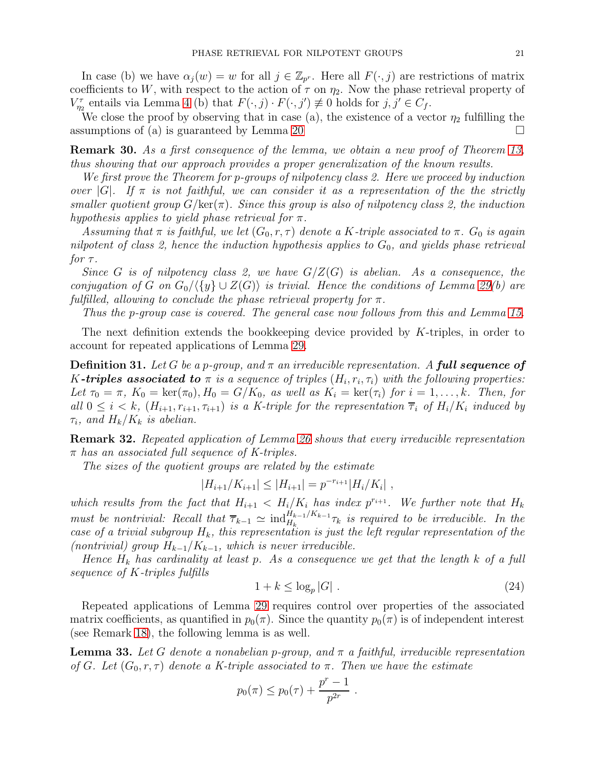In case (b) we have  $\alpha_j(w) = w$  for all  $j \in \mathbb{Z}_{p^r}$ . Here all  $F(\cdot, j)$  are restrictions of matrix coefficients to W, with respect to the action of  $\tau$  on  $\eta_2$ . Now the phase retrieval property of  $V_{\eta_2}^{\tau}$  entails via Lemma [4](#page-2-0) (b) that  $F(\cdot, j) \cdot F(\cdot, j') \not\equiv 0$  holds for  $j, j' \in C_f$ .

We close the proof by observing that in case (a), the existence of a vector  $\eta_2$  fulfilling the assumptions of (a) is guaranteed by Lemma [20](#page-12-0)  $\Box$ 

Remark 30. As a first consequence of the lemma, we obtain a new proof of Theorem [13,](#page-10-1) thus showing that our approach provides a proper generalization of the known results.

We first prove the Theorem for p-groups of nilpotency class 2. Here we proceed by induction over  $|G|$ . If  $\pi$  is not faithful, we can consider it as a representation of the the strictly smaller quotient group  $G/\text{ker}(\pi)$ . Since this group is also of nilpotency class 2, the induction hypothesis applies to yield phase retrieval for  $\pi$ .

Assuming that  $\pi$  is faithful, we let  $(G_0, r, \tau)$  denote a K-triple associated to  $\pi$ .  $G_0$  is again nilpotent of class 2, hence the induction hypothesis applies to  $G_0$ , and yields phase retrieval for  $\tau$ .

Since G is of nilpotency class 2, we have  $G/Z(G)$  is abelian. As a consequence, the conjugation of G on  $G_0/\langle \{y\} \cup Z(G)\rangle$  is trivial. Hence the conditions of Lemma [29\(](#page-18-0)b) are fulfilled, allowing to conclude the phase retrieval property for  $\pi$ .

Thus the p-group case is covered. The general case now follows from this and Lemma [15.](#page-11-3)

The next definition extends the bookkeeping device provided by K-triples, in order to account for repeated applications of Lemma [29.](#page-18-0)

**Definition 31.** Let G be a p-group, and  $\pi$  an irreducible representation. A **full sequence of** K-triples associated to  $\pi$  is a sequence of triples  $(H_i, r_i, \tau_i)$  with the following properties: Let  $\tau_0 = \pi$ ,  $K_0 = \text{ker}(\pi_0)$ ,  $H_0 = G/K_0$ , as well as  $K_i = \text{ker}(\tau_i)$  for  $i = 1, \ldots, k$ . Then, for all  $0 \leq i \leq k$ ,  $(H_{i+1}, r_{i+1}, \tau_{i+1})$  is a K-triple for the representation  $\overline{\tau}_i$  of  $H_i/K_i$  induced by  $\tau_i$ , and  $H_k/K_k$  is abelian.

Remark 32. Repeated application of Lemma [26](#page-16-0) shows that every irreducible representation  $\pi$  has an associated full sequence of K-triples.

The sizes of the quotient groups are related by the estimate

$$
|H_{i+1}/K_{i+1}| \leq |H_{i+1}| = p^{-r_{i+1}}|H_i/K_i|,
$$

which results from the fact that  $H_{i+1} < H_i/K_i$  has index  $p^{r_{i+1}}$ . We further note that  $H_k$ must be nontrivial: Recall that  $\overline{\tau}_{k-1} \simeq \text{ind}_{H_k}^{H_{k-1}/K_{k-1}} \tau_k$  is required to be irreducible. In the case of a trivial subgroup  $H_k$ , this representation is just the left regular representation of the (nontrivial) group  $H_{k-1}/K_{k-1}$ , which is never irreducible.

Hence  $H_k$  has cardinality at least p. As a consequence we get that the length k of a full sequence of K-triples fulfills

<span id="page-20-1"></span>
$$
1 + k \le \log_p |G| \tag{24}
$$

Repeated applications of Lemma [29](#page-18-0) requires control over properties of the associated matrix coefficients, as quantified in  $p_0(\pi)$ . Since the quantity  $p_0(\pi)$  is of independent interest (see Remark [18\)](#page-11-2), the following lemma is as well.

<span id="page-20-0"></span>**Lemma 33.** Let G denote a nonabelian p-group, and  $\pi$  a faithful, irreducible representation of G. Let  $(G_0, r, \tau)$  denote a K-triple associated to  $\pi$ . Then we have the estimate

$$
p_0(\pi) \le p_0(\tau) + \frac{p^r - 1}{p^{2r}}.
$$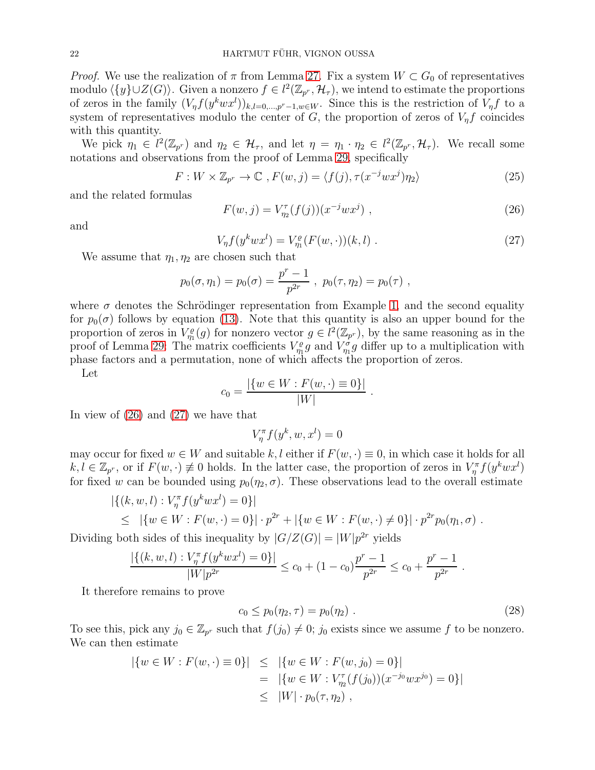*Proof.* We use the realization of  $\pi$  from Lemma [27.](#page-17-0) Fix a system  $W \subset G_0$  of representatives modulo  $\langle \{y\} \cup Z(G) \rangle$ . Given a nonzero  $f \in l^2(\mathbb{Z}_{p^r}, \mathcal{H}_{\tau})$ , we intend to estimate the proportions of zeros in the family  $(V_{\eta}f(y^kwx^l))_{k,l=0,\dots,p^r-1,w\in W}$ . Since this is the restriction of  $V_{\eta}f$  to a system of representatives modulo the center of  $G$ , the proportion of zeros of  $V_{\eta}f$  coincides with this quantity.

We pick  $\eta_1 \in l^2(\mathbb{Z}_{p^r})$  and  $\eta_2 \in \mathcal{H}_{\tau}$ , and let  $\eta = \eta_1 \cdot \eta_2 \in l^2(\mathbb{Z}_{p^r}, \mathcal{H}_{\tau})$ . We recall some notations and observations from the proof of Lemma [29,](#page-18-0) specifically

$$
F: W \times \mathbb{Z}_{p^r} \to \mathbb{C} \ , F(w, j) = \langle f(j), \tau(x^{-j}wx^j)\eta_2 \rangle \tag{25}
$$

and the related formulas

<span id="page-21-0"></span>
$$
F(w, j) = V_{\eta_2}^{\tau}(f(j))(x^{-j}wx^j) , \qquad (26)
$$

and

<span id="page-21-1"></span>
$$
V_{\eta} f(y^k w x^l) = V_{\eta_1}^e(F(w, \cdot))(k, l) \tag{27}
$$

.

We assume that  $\eta_1, \eta_2$  are chosen such that

$$
p_0(\sigma, \eta_1) = p_0(\sigma) = \frac{p^r - 1}{p^{2r}}
$$
,  $p_0(\tau, \eta_2) = p_0(\tau)$ ,

where  $\sigma$  denotes the Schrödinger representation from Example [1,](#page-1-0) and the second equality for  $p_0(\sigma)$  follows by equation [\(13\)](#page-11-4). Note that this quantity is also an upper bound for the proportion of zeros in  $V_{\eta_1}^{\rho}(g)$  for nonzero vector  $g \in l^2(\mathbb{Z}_{p^r})$ , by the same reasoning as in the proof of Lemma [29:](#page-18-0) The matrix coefficients  $V_{\eta_1}^{\rho}g$  and  $V_{\eta_1}^{\sigma}g$  differ up to a multiplication with phase factors and a permutation, none of which affects the proportion of zeros.

Let

$$
c_0 = \frac{|\{w \in W : F(w, \cdot) \equiv 0\}|}{|W|}
$$

In view of [\(26\)](#page-21-0) and [\(27\)](#page-21-1) we have that

 $V_{\eta}^{\pi}f(y^k, w, x^l) = 0$ 

may occur for fixed  $w \in W$  and suitable k, l either if  $F(w, \cdot) \equiv 0$ , in which case it holds for all  $k, l \in \mathbb{Z}_{p^r}$ , or if  $F(w, \cdot) \neq 0$  holds. In the latter case, the proportion of zeros in  $V_\eta^{\pi} f(y^k w x^l)$ for fixed w can be bounded using  $p_0(\eta_2, \sigma)$ . These observations lead to the overall estimate

$$
|\{(k, w, l) : V_{\eta}^{\pi} f(y^{k}wx^{l}) = 0\}|
$$
  
\n
$$
\leq |\{w \in W : F(w, \cdot) = 0\}| \cdot p^{2r} + |\{w \in W : F(w, \cdot) \neq 0\}| \cdot p^{2r} p_0(\eta_1, \sigma).
$$

Dividing both sides of this inequality by  $|G/Z(G)| = |W|p^{2r}$  yields

$$
\frac{|\{(k, w, l) : V_{\eta}^{\pi} f(y^k w x^l) = 0\}|}{|W|p^{2r}} \le c_0 + (1 - c_0) \frac{p^r - 1}{p^{2r}} \le c_0 + \frac{p^r - 1}{p^{2r}}.
$$

It therefore remains to prove

<span id="page-21-2"></span>
$$
c_0 \le p_0(\eta_2, \tau) = p_0(\eta_2) \tag{28}
$$

To see this, pick any  $j_0 \in \mathbb{Z}_{p^r}$  such that  $f(j_0) \neq 0$ ;  $j_0$  exists since we assume f to be nonzero. We can then estimate

$$
|\{w \in W : F(w, \cdot) \equiv 0\}| \leq |\{w \in W : F(w, j_0) = 0\}|
$$
  
= 
$$
|\{w \in W : V_{\eta_2}^{\tau}(f(j_0))(x^{-j_0}wx^{j_0}) = 0\}|
$$
  

$$
\leq |W| \cdot p_0(\tau, \eta_2),
$$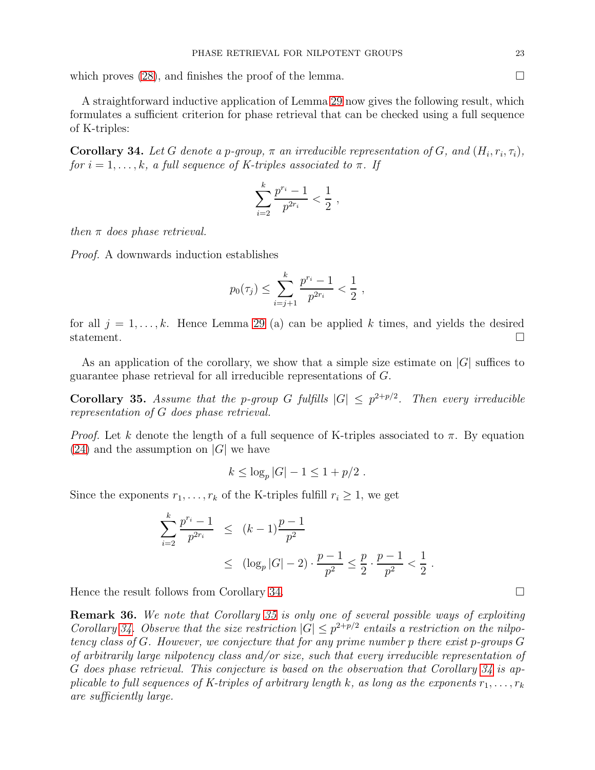which proves  $(28)$ , and finishes the proof of the lemma.

A straightforward inductive application of Lemma [29](#page-18-0) now gives the following result, which formulates a sufficient criterion for phase retrieval that can be checked using a full sequence of K-triples:

<span id="page-22-0"></span>**Corollary 34.** Let G denote a p-group,  $\pi$  an irreducible representation of G, and  $(H_i, r_i, \tau_i)$ , for  $i = 1, \ldots, k$ , a full sequence of K-triples associated to  $\pi$ . If

$$
\sum_{i=2}^{k} \frac{p^{r_i} - 1}{p^{2r_i}} < \frac{1}{2} \;,
$$

then  $\pi$  does phase retrieval.

Proof. A downwards induction establishes

$$
p_0(\tau_j) \le \sum_{i=j+1}^k \frac{p^{r_i} - 1}{p^{2r_i}} < \frac{1}{2}
$$
,

for all  $j = 1, \ldots, k$ . Hence Lemma [29](#page-18-0) (a) can be applied k times, and yields the desired statement.  $\Box$ 

As an application of the corollary, we show that a simple size estimate on  $|G|$  suffices to guarantee phase retrieval for all irreducible representations of G.

<span id="page-22-1"></span>**Corollary 35.** Assume that the p-group G fulfills  $|G| \leq p^{2+p/2}$ . Then every irreducible representation of G does phase retrieval.

*Proof.* Let k denote the length of a full sequence of K-triples associated to  $\pi$ . By equation  $(24)$  and the assumption on  $|G|$  we have

$$
k \leq \log_p |G| - 1 \leq 1 + p/2
$$
.

Since the exponents  $r_1, \ldots, r_k$  of the K-triples fulfill  $r_i \geq 1$ , we get

$$
\sum_{i=2}^{k} \frac{p^{r_i} - 1}{p^{2r_i}} \le (k - 1) \frac{p - 1}{p^2}
$$
  
 
$$
\le (\log_p |G| - 2) \cdot \frac{p - 1}{p^2} \le \frac{p}{2} \cdot \frac{p - 1}{p^2} < \frac{1}{2}.
$$

Hence the result follows from Corollary [34.](#page-22-0)

Remark 36. We note that Corollary [35](#page-22-1) is only one of several possible ways of exploiting Corollary [34.](#page-22-0) Observe that the size restriction  $|G| \leq p^{2+p/2}$  entails a restriction on the nilpotency class of G. However, we conjecture that for any prime number p there exist p-groups G of arbitrarily large nilpotency class and/or size, such that every irreducible representation of G does phase retrieval. This conjecture is based on the observation that Corollary [34](#page-22-0) is applicable to full sequences of K-triples of arbitrary length k, as long as the exponents  $r_1, \ldots, r_k$ are sufficiently large.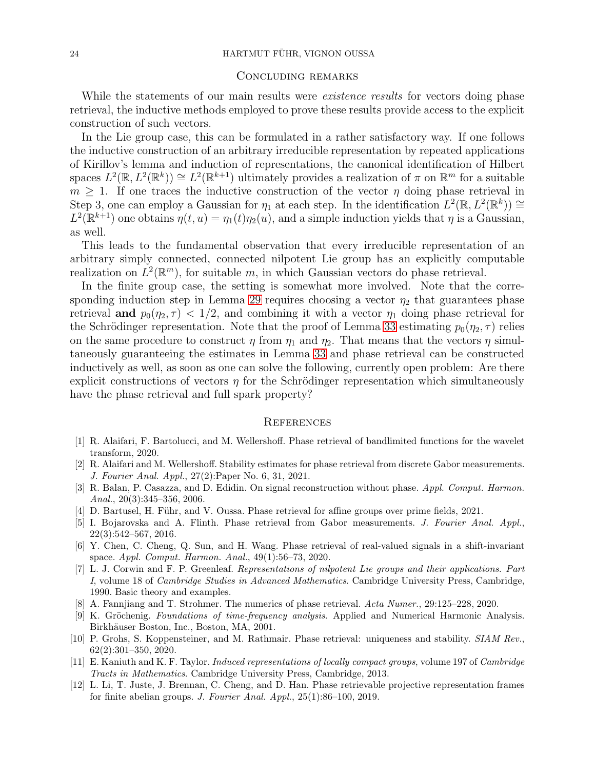### Concluding remarks

While the statements of our main results were *existence results* for vectors doing phase retrieval, the inductive methods employed to prove these results provide access to the explicit construction of such vectors.

In the Lie group case, this can be formulated in a rather satisfactory way. If one follows the inductive construction of an arbitrary irreducible representation by repeated applications of Kirillov's lemma and induction of representations, the canonical identification of Hilbert spaces  $L^2(\mathbb{R}, L^2(\mathbb{R}^k)) \cong L^2(\mathbb{R}^{k+1})$  ultimately provides a realization of  $\pi$  on  $\mathbb{R}^m$  for a suitable  $m > 1$ . If one traces the inductive construction of the vector  $\eta$  doing phase retrieval in Step 3, one can employ a Gaussian for  $\eta_1$  at each step. In the identification  $L^2(\mathbb{R}, L^2(\mathbb{R}^k)) \cong$  $L^2(\mathbb{R}^{k+1})$  one obtains  $\eta(t, u) = \eta_1(t)\eta_2(u)$ , and a simple induction yields that  $\eta$  is a Gaussian, as well.

This leads to the fundamental observation that every irreducible representation of an arbitrary simply connected, connected nilpotent Lie group has an explicitly computable realization on  $L^2(\mathbb{R}^m)$ , for suitable m, in which Gaussian vectors do phase retrieval.

In the finite group case, the setting is somewhat more involved. Note that the corre-sponding induction step in Lemma [29](#page-18-0) requires choosing a vector  $\eta_2$  that guarantees phase retrieval and  $p_0(\eta_2, \tau) < 1/2$ , and combining it with a vector  $\eta_1$  doing phase retrieval for the Schrödinger representation. Note that the proof of Lemma [33](#page-20-0) estimating  $p_0(\eta_2, \tau)$  relies on the same procedure to construct  $\eta$  from  $\eta_1$  and  $\eta_2$ . That means that the vectors  $\eta$  simultaneously guaranteeing the estimates in Lemma [33](#page-20-0) and phase retrieval can be constructed inductively as well, as soon as one can solve the following, currently open problem: Are there explicit constructions of vectors  $\eta$  for the Schrödinger representation which simultaneously have the phase retrieval and full spark property?

### **REFERENCES**

- <span id="page-23-5"></span>[1] R. Alaifari, F. Bartolucci, and M. Wellershoff. Phase retrieval of bandlimited functions for the wavelet transform, 2020.
- <span id="page-23-4"></span>[2] R. Alaifari and M. Wellershoff. Stability estimates for phase retrieval from discrete Gabor measurements. J. Fourier Anal. Appl., 27(2):Paper No. 6, 31, 2021.
- <span id="page-23-0"></span>[3] R. Balan, P. Casazza, and D. Edidin. On signal reconstruction without phase. Appl. Comput. Harmon. Anal.,  $20(3):345-356$ ,  $2006$ .
- <span id="page-23-6"></span><span id="page-23-3"></span>[4] D. Bartusel, H. Führ, and V. Oussa. Phase retrieval for affine groups over prime fields, 2021.
- [5] I. Bojarovska and A. Flinth. Phase retrieval from Gabor measurements. J. Fourier Anal. Appl., 22(3):542–567, 2016.
- <span id="page-23-8"></span>[6] Y. Chen, C. Cheng, Q. Sun, and H. Wang. Phase retrieval of real-valued signals in a shift-invariant space. Appl. Comput. Harmon. Anal., 49(1):56–73, 2020.
- <span id="page-23-11"></span>[7] L. J. Corwin and F. P. Greenleaf. Representations of nilpotent Lie groups and their applications. Part I, volume 18 of Cambridge Studies in Advanced Mathematics. Cambridge University Press, Cambridge, 1990. Basic theory and examples.
- <span id="page-23-10"></span><span id="page-23-2"></span>[8] A. Fannjiang and T. Strohmer. The numerics of phase retrieval. Acta Numer., 29:125–228, 2020.
- [9] K. Gröchenig. Foundations of time-frequency analysis. Applied and Numerical Harmonic Analysis. Birkhäuser Boston, Inc., Boston, MA, 2001.
- <span id="page-23-1"></span>[10] P. Grohs, S. Koppensteiner, and M. Rathmair. Phase retrieval: uniqueness and stability. SIAM Rev., 62(2):301–350, 2020.
- <span id="page-23-9"></span>[11] E. Kaniuth and K. F. Taylor. Induced representations of locally compact groups, volume 197 of Cambridge Tracts in Mathematics. Cambridge University Press, Cambridge, 2013.
- <span id="page-23-7"></span>[12] L. Li, T. Juste, J. Brennan, C. Cheng, and D. Han. Phase retrievable projective representation frames for finite abelian groups. J. Fourier Anal. Appl., 25(1):86–100, 2019.